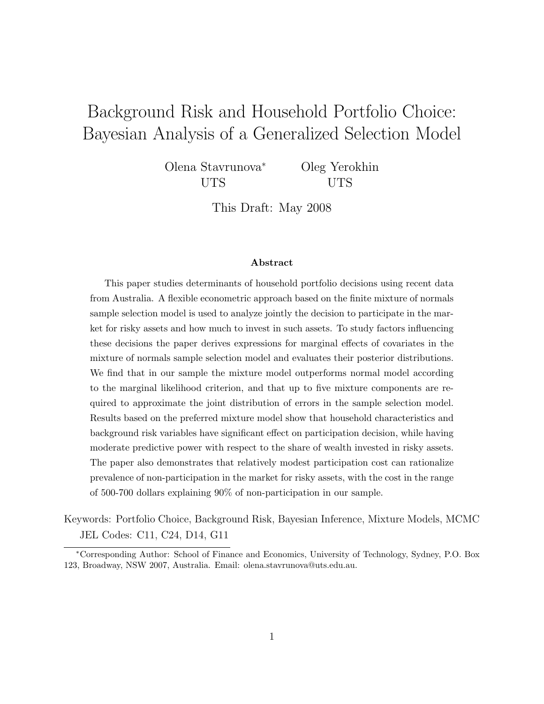# Background Risk and Household Portfolio Choice: Bayesian Analysis of a Generalized Selection Model

Olena Stavrunova<sup>∗</sup> UTS

Oleg Yerokhin UTS

This Draft: May 2008

#### Abstract

This paper studies determinants of household portfolio decisions using recent data from Australia. A flexible econometric approach based on the finite mixture of normals sample selection model is used to analyze jointly the decision to participate in the market for risky assets and how much to invest in such assets. To study factors influencing these decisions the paper derives expressions for marginal effects of covariates in the mixture of normals sample selection model and evaluates their posterior distributions. We find that in our sample the mixture model outperforms normal model according to the marginal likelihood criterion, and that up to five mixture components are required to approximate the joint distribution of errors in the sample selection model. Results based on the preferred mixture model show that household characteristics and background risk variables have significant effect on participation decision, while having moderate predictive power with respect to the share of wealth invested in risky assets. The paper also demonstrates that relatively modest participation cost can rationalize prevalence of non-participation in the market for risky assets, with the cost in the range of 500-700 dollars explaining 90% of non-participation in our sample.

Keywords: Portfolio Choice, Background Risk, Bayesian Inference, Mixture Models, MCMC JEL Codes: C11, C24, D14, G11

<sup>∗</sup>Corresponding Author: School of Finance and Economics, University of Technology, Sydney, P.O. Box 123, Broadway, NSW 2007, Australia. Email: olena.stavrunova@uts.edu.au.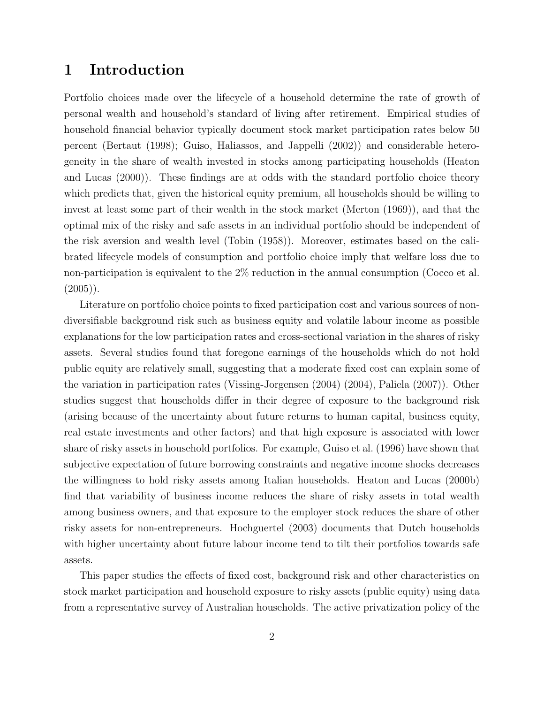### 1 Introduction

Portfolio choices made over the lifecycle of a household determine the rate of growth of personal wealth and household's standard of living after retirement. Empirical studies of household financial behavior typically document stock market participation rates below 50 percent (Bertaut (1998); Guiso, Haliassos, and Jappelli (2002)) and considerable heterogeneity in the share of wealth invested in stocks among participating households (Heaton and Lucas (2000)). These findings are at odds with the standard portfolio choice theory which predicts that, given the historical equity premium, all households should be willing to invest at least some part of their wealth in the stock market (Merton (1969)), and that the optimal mix of the risky and safe assets in an individual portfolio should be independent of the risk aversion and wealth level (Tobin (1958)). Moreover, estimates based on the calibrated lifecycle models of consumption and portfolio choice imply that welfare loss due to non-participation is equivalent to the 2% reduction in the annual consumption (Cocco et al.  $(2005)$ .

Literature on portfolio choice points to fixed participation cost and various sources of nondiversifiable background risk such as business equity and volatile labour income as possible explanations for the low participation rates and cross-sectional variation in the shares of risky assets. Several studies found that foregone earnings of the households which do not hold public equity are relatively small, suggesting that a moderate fixed cost can explain some of the variation in participation rates (Vissing-Jorgensen (2004) (2004), Paliela (2007)). Other studies suggest that households differ in their degree of exposure to the background risk (arising because of the uncertainty about future returns to human capital, business equity, real estate investments and other factors) and that high exposure is associated with lower share of risky assets in household portfolios. For example, Guiso et al. (1996) have shown that subjective expectation of future borrowing constraints and negative income shocks decreases the willingness to hold risky assets among Italian households. Heaton and Lucas (2000b) find that variability of business income reduces the share of risky assets in total wealth among business owners, and that exposure to the employer stock reduces the share of other risky assets for non-entrepreneurs. Hochguertel (2003) documents that Dutch households with higher uncertainty about future labour income tend to tilt their portfolios towards safe assets.

This paper studies the effects of fixed cost, background risk and other characteristics on stock market participation and household exposure to risky assets (public equity) using data from a representative survey of Australian households. The active privatization policy of the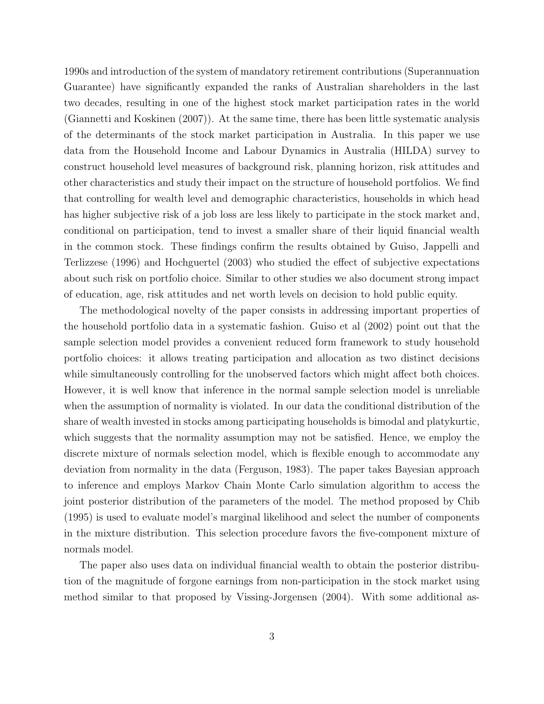1990s and introduction of the system of mandatory retirement contributions (Superannuation Guarantee) have significantly expanded the ranks of Australian shareholders in the last two decades, resulting in one of the highest stock market participation rates in the world (Giannetti and Koskinen (2007)). At the same time, there has been little systematic analysis of the determinants of the stock market participation in Australia. In this paper we use data from the Household Income and Labour Dynamics in Australia (HILDA) survey to construct household level measures of background risk, planning horizon, risk attitudes and other characteristics and study their impact on the structure of household portfolios. We find that controlling for wealth level and demographic characteristics, households in which head has higher subjective risk of a job loss are less likely to participate in the stock market and, conditional on participation, tend to invest a smaller share of their liquid financial wealth in the common stock. These findings confirm the results obtained by Guiso, Jappelli and Terlizzese (1996) and Hochguertel (2003) who studied the effect of subjective expectations about such risk on portfolio choice. Similar to other studies we also document strong impact of education, age, risk attitudes and net worth levels on decision to hold public equity.

The methodological novelty of the paper consists in addressing important properties of the household portfolio data in a systematic fashion. Guiso et al (2002) point out that the sample selection model provides a convenient reduced form framework to study household portfolio choices: it allows treating participation and allocation as two distinct decisions while simultaneously controlling for the unobserved factors which might affect both choices. However, it is well know that inference in the normal sample selection model is unreliable when the assumption of normality is violated. In our data the conditional distribution of the share of wealth invested in stocks among participating households is bimodal and platykurtic, which suggests that the normality assumption may not be satisfied. Hence, we employ the discrete mixture of normals selection model, which is flexible enough to accommodate any deviation from normality in the data (Ferguson, 1983). The paper takes Bayesian approach to inference and employs Markov Chain Monte Carlo simulation algorithm to access the joint posterior distribution of the parameters of the model. The method proposed by Chib (1995) is used to evaluate model's marginal likelihood and select the number of components in the mixture distribution. This selection procedure favors the five-component mixture of normals model.

The paper also uses data on individual financial wealth to obtain the posterior distribution of the magnitude of forgone earnings from non-participation in the stock market using method similar to that proposed by Vissing-Jorgensen (2004). With some additional as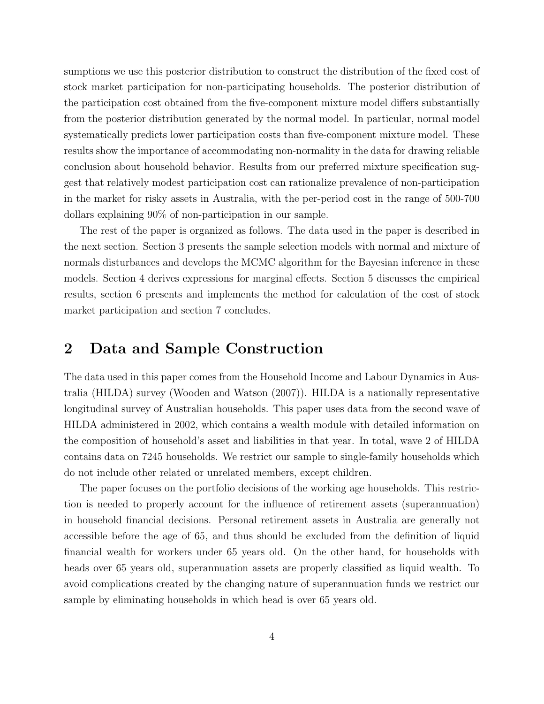sumptions we use this posterior distribution to construct the distribution of the fixed cost of stock market participation for non-participating households. The posterior distribution of the participation cost obtained from the five-component mixture model differs substantially from the posterior distribution generated by the normal model. In particular, normal model systematically predicts lower participation costs than five-component mixture model. These results show the importance of accommodating non-normality in the data for drawing reliable conclusion about household behavior. Results from our preferred mixture specification suggest that relatively modest participation cost can rationalize prevalence of non-participation in the market for risky assets in Australia, with the per-period cost in the range of 500-700 dollars explaining 90% of non-participation in our sample.

The rest of the paper is organized as follows. The data used in the paper is described in the next section. Section 3 presents the sample selection models with normal and mixture of normals disturbances and develops the MCMC algorithm for the Bayesian inference in these models. Section 4 derives expressions for marginal effects. Section 5 discusses the empirical results, section 6 presents and implements the method for calculation of the cost of stock market participation and section 7 concludes.

#### 2 Data and Sample Construction

The data used in this paper comes from the Household Income and Labour Dynamics in Australia (HILDA) survey (Wooden and Watson (2007)). HILDA is a nationally representative longitudinal survey of Australian households. This paper uses data from the second wave of HILDA administered in 2002, which contains a wealth module with detailed information on the composition of household's asset and liabilities in that year. In total, wave 2 of HILDA contains data on 7245 households. We restrict our sample to single-family households which do not include other related or unrelated members, except children.

The paper focuses on the portfolio decisions of the working age households. This restriction is needed to properly account for the influence of retirement assets (superannuation) in household financial decisions. Personal retirement assets in Australia are generally not accessible before the age of 65, and thus should be excluded from the definition of liquid financial wealth for workers under 65 years old. On the other hand, for households with heads over 65 years old, superannuation assets are properly classified as liquid wealth. To avoid complications created by the changing nature of superannuation funds we restrict our sample by eliminating households in which head is over 65 years old.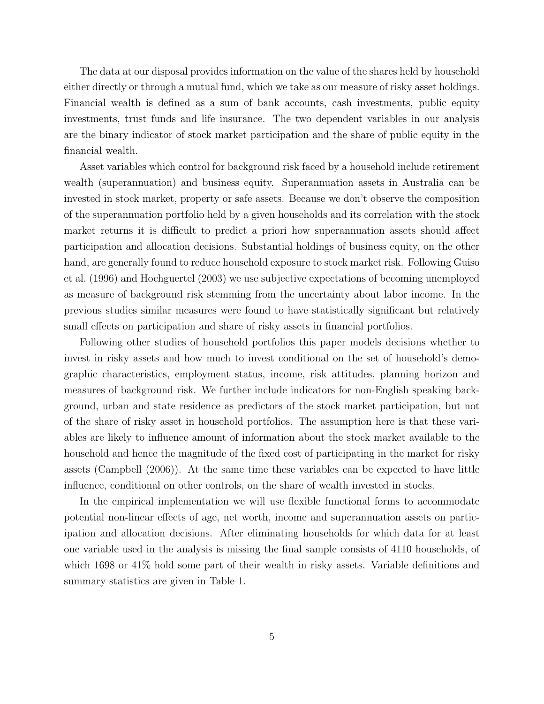The data at our disposal provides information on the value of the shares held by household either directly or through a mutual fund, which we take as our measure of risky asset holdings. Financial wealth is defined as a sum of bank accounts, cash investments, public equity investments, trust funds and life insurance. The two dependent variables in our analysis are the binary indicator of stock market participation and the share of public equity in the financial wealth.

Asset variables which control for background risk faced by a household include retirement wealth (superannuation) and business equity. Superannuation assets in Australia can be invested in stock market, property or safe assets. Because we don't observe the composition of the superannuation portfolio held by a given households and its correlation with the stock market returns it is difficult to predict a priori how superannuation assets should affect participation and allocation decisions. Substantial holdings of business equity, on the other hand, are generally found to reduce household exposure to stock market risk. Following Guiso et al. (1996) and Hochguertel (2003) we use subjective expectations of becoming unemployed as measure of background risk stemming from the uncertainty about labor income. In the previous studies similar measures were found to have statistically significant but relatively small effects on participation and share of risky assets in financial portfolios.

Following other studies of household portfolios this paper models decisions whether to invest in risky assets and how much to invest conditional on the set of household's demographic characteristics, employment status, income, risk attitudes, planning horizon and measures of background risk. We further include indicators for non-English speaking background, urban and state residence as predictors of the stock market participation, but not of the share of risky asset in household portfolios. The assumption here is that these variables are likely to influence amount of information about the stock market available to the household and hence the magnitude of the fixed cost of participating in the market for risky assets (Campbell (2006)). At the same time these variables can be expected to have little influence, conditional on other controls, on the share of wealth invested in stocks.

In the empirical implementation we will use flexible functional forms to accommodate potential non-linear effects of age, net worth, income and superannuation assets on participation and allocation decisions. After eliminating households for which data for at least one variable used in the analysis is missing the final sample consists of 4110 households, of which 1698 or 41% hold some part of their wealth in risky assets. Variable definitions and summary statistics are given in Table 1.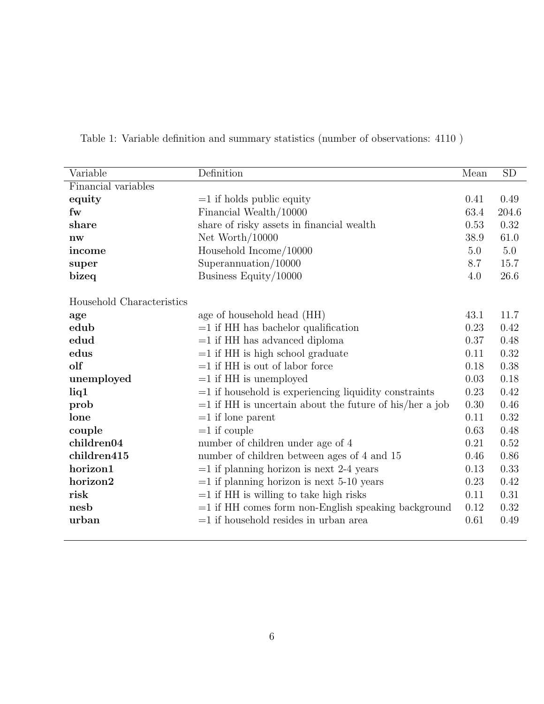| Variable                  | Definition                                                | Mean | $\overline{SD}$ |
|---------------------------|-----------------------------------------------------------|------|-----------------|
| Financial variables       |                                                           |      |                 |
| equity                    | $=1$ if holds public equity                               | 0.41 | 0.49            |
| fw                        | Financial Wealth/10000                                    | 63.4 | 204.6           |
| share                     | share of risky assets in financial wealth                 | 0.53 | 0.32            |
| $n_{\rm W}$               | Net Worth $/10000$                                        | 38.9 | 61.0            |
| income                    | Household $Income/10000$                                  | 5.0  | 5.0             |
| super                     | Superannuation/10000                                      | 8.7  | 15.7            |
| bizeq                     | Business Equity/10000                                     | 4.0  | 26.6            |
|                           |                                                           |      |                 |
| Household Characteristics |                                                           |      |                 |
| age                       | age of household head (HH)                                | 43.1 | 11.7            |
| edub                      | $=1$ if HH has bachelor qualification                     | 0.23 | 0.42            |
| edud                      | $=1$ if HH has advanced diploma                           | 0.37 | 0.48            |
| edus                      | $=1$ if HH is high school graduate                        | 0.11 | 0.32            |
| olf                       | $=1$ if HH is out of labor force                          | 0.18 | 0.38            |
| unemployed                | $=1$ if HH is unemployed                                  | 0.03 | 0.18            |
| liq1                      | $=1$ if household is experiencing liquidity constraints   | 0.23 | 0.42            |
| prob                      | $=1$ if HH is uncertain about the future of his/her a job | 0.30 | 0.46            |
| lone                      | $=1$ if lone parent                                       | 0.11 | 0.32            |
| couple                    | $=1$ if couple                                            | 0.63 | 0.48            |
| children04                | number of children under age of 4                         | 0.21 | 0.52            |
| children415               | number of children between ages of 4 and 15               | 0.46 | 0.86            |
| horizon1                  | $=1$ if planning horizon is next 2-4 years                | 0.13 | 0.33            |
| horizon2                  | $=1$ if planning horizon is next 5-10 years               | 0.23 | 0.42            |
| risk                      | $=1$ if HH is willing to take high risks                  | 0.11 | 0.31            |
| nesb                      | $=1$ if HH comes form non-English speaking background     | 0.12 | 0.32            |
| urban                     | $=1$ if household resides in urban area                   | 0.61 | 0.49            |
|                           |                                                           |      |                 |

Table 1: Variable definition and summary statistics (number of observations: 4110 )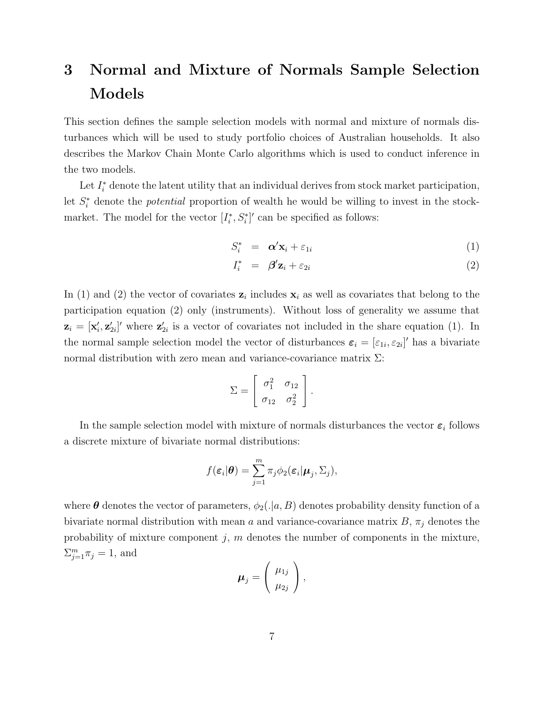# 3 Normal and Mixture of Normals Sample Selection Models

This section defines the sample selection models with normal and mixture of normals disturbances which will be used to study portfolio choices of Australian households. It also describes the Markov Chain Monte Carlo algorithms which is used to conduct inference in the two models.

Let  $I_i^*$  denote the latent utility that an individual derives from stock market participation, let  $S_i^*$  denote the *potential* proportion of wealth he would be willing to invest in the stockmarket. The model for the vector  $[I_i^*, S_i^*]'$  can be specified as follows:

$$
S_i^* = \boldsymbol{\alpha}' \mathbf{x}_i + \varepsilon_{1i} \tag{1}
$$

$$
I_i^* = \beta' \mathbf{z}_i + \varepsilon_{2i} \tag{2}
$$

In (1) and (2) the vector of covariates  $z_i$  includes  $x_i$  as well as covariates that belong to the participation equation (2) only (instruments). Without loss of generality we assume that  $\mathbf{z}_i = [\mathbf{x}'_i, \mathbf{z}'_{2i}]'$  where  $\mathbf{z}'_{2i}$  is a vector of covariates not included in the share equation (1). In the normal sample selection model the vector of disturbances  $\varepsilon_i = [\varepsilon_{1i}, \varepsilon_{2i}]'$  has a bivariate normal distribution with zero mean and variance-covariance matrix  $\Sigma$ :

$$
\Sigma = \left[ \begin{array}{cc} \sigma_1^2 & \sigma_{12} \\ \sigma_{12} & \sigma_2^2 \end{array} \right].
$$

In the sample selection model with mixture of normals disturbances the vector  $\varepsilon_i$  follows a discrete mixture of bivariate normal distributions:

$$
f(\boldsymbol{\varepsilon}_i|\boldsymbol{\theta})=\sum_{j=1}^m \pi_j \phi_2(\boldsymbol{\varepsilon}_i|\boldsymbol{\mu}_j,\boldsymbol{\Sigma}_j),
$$

where  $\theta$  denotes the vector of parameters,  $\phi_2(.|a, B)$  denotes probability density function of a bivariate normal distribution with mean a and variance-covariance matrix  $B$ ,  $\pi_j$  denotes the probability of mixture component  $j$ ,  $m$  denotes the number of components in the mixture,  $\sum_{j=1}^m \pi_j = 1$ , and

$$
\boldsymbol{\mu}_j = \left(\begin{array}{c} \mu_{1j} \\ \mu_{2j} \end{array}\right),
$$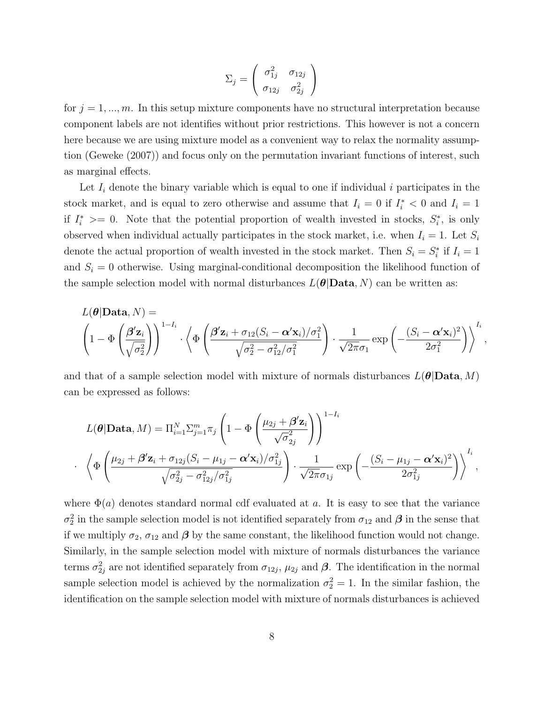$$
\Sigma_j = \left(\begin{array}{cc} \sigma_{1j}^2 & \sigma_{12j} \\ \sigma_{12j} & \sigma_{2j}^2 \end{array}\right)
$$

for  $j = 1, ..., m$ . In this setup mixture components have no structural interpretation because component labels are not identifies without prior restrictions. This however is not a concern here because we are using mixture model as a convenient way to relax the normality assumption (Geweke (2007)) and focus only on the permutation invariant functions of interest, such as marginal effects.

Let  $I_i$  denote the binary variable which is equal to one if individual i participates in the stock market, and is equal to zero otherwise and assume that  $I_i = 0$  if  $I_i^* < 0$  and  $I_i = 1$ if  $I_i^* \geq 0$ . Note that the potential proportion of wealth invested in stocks,  $S_i^*$ , is only observed when individual actually participates in the stock market, i.e. when  $I_i = 1$ . Let  $S_i$ denote the actual proportion of wealth invested in the stock market. Then  $S_i = S_i^*$  if  $I_i = 1$ and  $S_i = 0$  otherwise. Using marginal-conditional decomposition the likelihood function of the sample selection model with normal disturbances  $L(\theta|\textbf{Data}, N)$  can be written as:

$$
L(\boldsymbol{\theta}|\mathbf{Data}, N) = \left(1 - \Phi\left(\frac{\boldsymbol{\beta}'\mathbf{z}_i}{\sqrt{\sigma_2^2}}\right)\right)^{1 - I_i} \cdot \left\langle \Phi\left(\frac{\boldsymbol{\beta}'\mathbf{z}_i + \sigma_{12}(S_i - \boldsymbol{\alpha}'\mathbf{x}_i)/\sigma_1^2}{\sqrt{\sigma_2^2 - \sigma_{12}^2/\sigma_1^2}}\right) \cdot \frac{1}{\sqrt{2\pi}\sigma_1} \exp\left(-\frac{(S_i - \boldsymbol{\alpha}'\mathbf{x}_i)^2}{2\sigma_1^2}\right)\right\rangle^{I_i},
$$

and that of a sample selection model with mixture of normals disturbances  $L(\theta|\text{Data}, M)$ can be expressed as follows:

$$
L(\boldsymbol{\theta}|\mathbf{Data}, M) = \Pi_{i=1}^{N} \Sigma_{j=1}^{m} \pi_j \left( 1 - \Phi\left(\frac{\mu_{2j} + \boldsymbol{\beta}' \mathbf{z}_i}{\sqrt{\sigma_{2j}^2}}\right) \right)^{1-I_i}
$$

$$
\left\langle \Phi\left(\frac{\mu_{2j} + \boldsymbol{\beta}' \mathbf{z}_i + \sigma_{12j}(S_i - \mu_{1j} - \boldsymbol{\alpha}' \mathbf{x}_i)/\sigma_{1j}^2}{\sqrt{\sigma_{2j}^2 - \sigma_{12j}^2/\sigma_{1j}^2}} \right) \cdot \frac{1}{\sqrt{2\pi}\sigma_{1j}} \exp\left(-\frac{(S_i - \mu_{1j} - \boldsymbol{\alpha}' \mathbf{x}_i)^2}{2\sigma_{1j}^2}\right) \right\rangle^{I_i},
$$

·

where  $\Phi(a)$  denotes standard normal cdf evaluated at a. It is easy to see that the variance  $\sigma_2^2$  in the sample selection model is not identified separately from  $\sigma_{12}$  and  $\beta$  in the sense that if we multiply  $\sigma_2$ ,  $\sigma_{12}$  and  $\beta$  by the same constant, the likelihood function would not change. Similarly, in the sample selection model with mixture of normals disturbances the variance terms  $\sigma_{2j}^2$  are not identified separately from  $\sigma_{12j}$ ,  $\mu_{2j}$  and  $\beta$ . The identification in the normal sample selection model is achieved by the normalization  $\sigma_2^2 = 1$ . In the similar fashion, the identification on the sample selection model with mixture of normals disturbances is achieved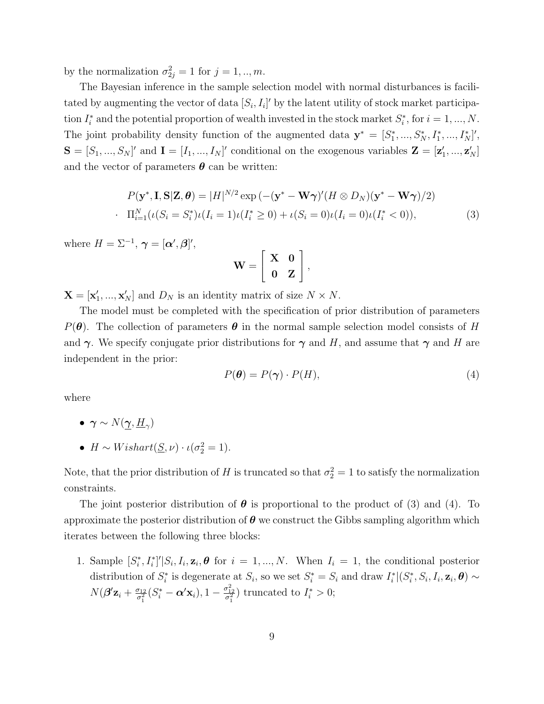by the normalization  $\sigma_{2j}^2 = 1$  for  $j = 1, ..., m$ .

The Bayesian inference in the sample selection model with normal disturbances is facilitated by augmenting the vector of data  $[S_i, I_i]'$  by the latent utility of stock market participation  $I_i^*$  and the potential proportion of wealth invested in the stock market  $S_i^*$ , for  $i = 1, ..., N$ . The joint probability density function of the augmented data  $\mathbf{y}^* = [S_1^*,...,S_N^*,I_1^*,...,I_N^*]'$ ,  $\mathbf{S} = [S_1, ..., S_N]'$  and  $\mathbf{I} = [I_1, ..., I_N]'$  conditional on the exogenous variables  $\mathbf{Z} = [\mathbf{z}'_1, ..., \mathbf{z}'_N]$ and the vector of parameters  $\boldsymbol{\theta}$  can be written:

$$
P(\mathbf{y}^*, \mathbf{I}, \mathbf{S}|\mathbf{Z}, \boldsymbol{\theta}) = |H|^{N/2} \exp\left(-(\mathbf{y}^* - \mathbf{W}\boldsymbol{\gamma})'(H \otimes D_N)(\mathbf{y}^* - \mathbf{W}\boldsymbol{\gamma})/2\right)
$$
  
 
$$
\prod_{i=1}^N (\iota(S_i = S_i^*)\iota(I_i = 1)\iota(I_i^* \ge 0) + \iota(S_i = 0)\iota(I_i = 0)\iota(I_i^* < 0)),
$$
 (3)

where  $H = \Sigma^{-1}$ ,  $\boldsymbol{\gamma} = [\boldsymbol{\alpha}', \boldsymbol{\beta}]'$ ,

$$
\mathbf{W} = \left[ \begin{array}{cc} \mathbf{X} & \mathbf{0} \\ \mathbf{0} & \mathbf{Z} \end{array} \right],
$$

 $\mathbf{X} = [\mathbf{x}'_1, ..., \mathbf{x}'_N]$  and  $D_N$  is an identity matrix of size  $N \times N$ .

The model must be completed with the specification of prior distribution of parameters  $P(\theta)$ . The collection of parameters  $\theta$  in the normal sample selection model consists of H and  $\gamma$ . We specify conjugate prior distributions for  $\gamma$  and H, and assume that  $\gamma$  and H are independent in the prior:

$$
P(\theta) = P(\gamma) \cdot P(H),\tag{4}
$$

where

- $\bullet~~\boldsymbol{\gamma}\sim N(\underline{\boldsymbol{\gamma}},\underline{H}_{\gamma})$
- $H \sim Wishart(\underline{S}, \nu) \cdot \iota(\sigma_2^2 = 1).$

Note, that the prior distribution of H is truncated so that  $\sigma_2^2 = 1$  to satisfy the normalization constraints.

The joint posterior distribution of  $\theta$  is proportional to the product of (3) and (4). To approximate the posterior distribution of  $\theta$  we construct the Gibbs sampling algorithm which iterates between the following three blocks:

1. Sample  $[S_i^*, I_i^*]' | S_i, I_i, \mathbf{z}_i, \boldsymbol{\theta}$  for  $i = 1, ..., N$ . When  $I_i = 1$ , the conditional posterior distribution of  $S_i^*$  is degenerate at  $S_i$ , so we set  $S_i^* = S_i$  and draw  $I_i^* | (S_i^*, S_i, I_i, \mathbf{z}_i, \boldsymbol{\theta}) \sim$  $N(\boldsymbol{\beta'}\mathbf{z}_i+\frac{\sigma_{12}}{\sigma^2})$  $\frac{\sigma_{12}}{\sigma_1^2}(S_i^* - \alpha' \mathbf{x}_i), 1 - \frac{\sigma_{12}^2}{\sigma_1^2})$  truncated to  $I_i^* > 0$ ;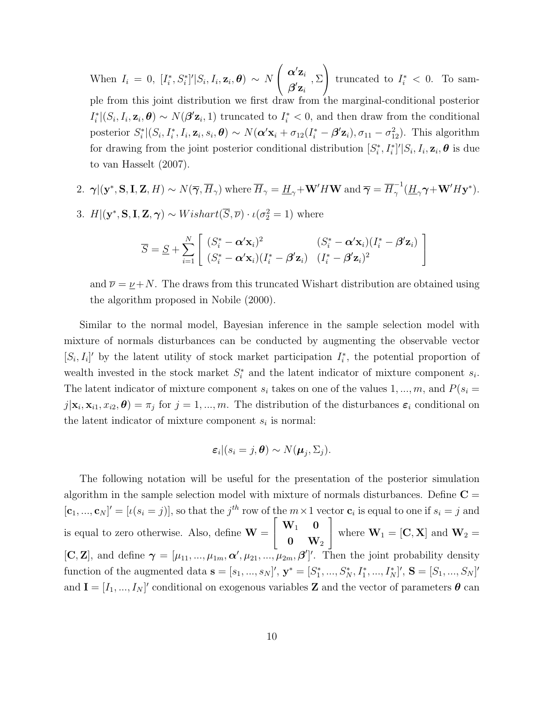When  $I_i = 0$ ,  $[I_i^*, S_i^*]' | S_i, I_i, \mathbf{z}_i, \boldsymbol{\theta} \rangle \sim N$  $\sqrt{ }$  $\mathcal{L}$  $\boldsymbol{\alpha}'{\bf z}_i$  $\bm{\beta'} \mathbf{z}_i$ , Σ  $\setminus$ truncated to  $I_i^* < 0$ . To sample from this joint distribution we first draw from the marginal-conditional posterior  $I_i^* | (S_i, I_i, \mathbf{z}_i, \boldsymbol{\theta}) \sim N(\boldsymbol{\beta}' \mathbf{z}_i, 1)$  truncated to  $I_i^* < 0$ , and then draw from the conditional posterior  $S_i^* | (S_i, I_i^*, I_i, \mathbf{z}_i, s_i, \boldsymbol{\theta}) \sim N(\boldsymbol{\alpha}' \mathbf{x}_i + \sigma_{12}(I_i^* - \boldsymbol{\beta}' \mathbf{z}_i), \sigma_{11} - \sigma_{12}^2)$ . This algorithm for drawing from the joint posterior conditional distribution  $[S_i^*, I_i^*]' | S_i, I_i, \mathbf{z}_i, \boldsymbol{\theta}$  is due to van Hasselt (2007).

2. 
$$
\gamma |(\mathbf{y}^*, \mathbf{S}, \mathbf{I}, \mathbf{Z}, H) \sim N(\overline{\gamma}, \overline{H}_{\gamma})
$$
 where  $\overline{H}_{\gamma} = \underline{H}_{\gamma} + \mathbf{W}' H \mathbf{W}$  and  $\overline{\gamma} = \overline{H}_{\gamma}^{-1}(\underline{H}_{\gamma} \gamma + \mathbf{W}' H \mathbf{y}^*)$ .

3.  $H|(\mathbf{y}^*, \mathbf{S}, \mathbf{I}, \mathbf{Z}, \boldsymbol{\gamma}) \sim Wishart(\overline{S}, \overline{\nu}) \cdot \iota(\sigma_2^2 = 1)$  where

$$
\overline{S} = \underline{S} + \sum_{i=1}^{N} \left[ \begin{array}{cc} (S_i^* - \boldsymbol{\alpha}' \mathbf{x}_i)^2 & (S_i^* - \boldsymbol{\alpha}' \mathbf{x}_i)(I_i^* - \boldsymbol{\beta}' \mathbf{z}_i) \\ (S_i^* - \boldsymbol{\alpha}' \mathbf{x}_i)(I_i^* - \boldsymbol{\beta}' \mathbf{z}_i) & (I_i^* - \boldsymbol{\beta}' \mathbf{z}_i)^2 \end{array} \right]
$$

and  $\overline{\nu} = \underline{\nu} + N$ . The draws from this truncated Wishart distribution are obtained using the algorithm proposed in Nobile (2000).

Similar to the normal model, Bayesian inference in the sample selection model with mixture of normals disturbances can be conducted by augmenting the observable vector  $[S_i, I_i]'$  by the latent utility of stock market participation  $I_i^*$ , the potential proportion of wealth invested in the stock market  $S_i^*$  and the latent indicator of mixture component  $s_i$ . The latent indicator of mixture component  $s_i$  takes on one of the values 1, ..., m, and  $P(s_i =$  $j|\mathbf{x}_i,\mathbf{x}_{i1},x_{i2},\boldsymbol{\theta})=\pi_j$  for  $j=1,...,m$ . The distribution of the disturbances  $\boldsymbol{\varepsilon}_i$  conditional on the latent indicator of mixture component  $s_i$  is normal:

$$
\varepsilon_i|(s_i=j,\boldsymbol{\theta})\sim N(\boldsymbol{\mu}_j,\Sigma_j).
$$

The following notation will be useful for the presentation of the posterior simulation algorithm in the sample selection model with mixture of normals disturbances. Define  $C =$  $[\mathbf{c}_1, ..., \mathbf{c}_N]' = [\iota(s_i = j)],$  so that the  $j<sup>th</sup>$  row of the  $m \times 1$  vector  $\mathbf{c}_i$  is equal to one if  $s_i = j$  and is equal to zero otherwise. Also, define  $W =$  $\sqrt{ }$  $\overline{1}$  $\mathbf{W}_1 = \mathbf{0}$  ${\bf 0}$   ${\bf W}_2$ 1 where  $\mathbf{W}_1 = [\mathbf{C}, \mathbf{X}]$  and  $\mathbf{W}_2 =$  $[\mathbf{C}, \mathbf{Z}]$ , and define  $\boldsymbol{\gamma} = [\mu_{11}, ..., \mu_{1m}, \boldsymbol{\alpha}', \mu_{21}, ..., \mu_{2m}, \boldsymbol{\beta}']'$ . Then the joint probability density function of the augmented data  $\mathbf{s} = [s_1, ..., s_N]'$ ,  $\mathbf{y}^* = [S_1^*, ..., S_N^*, I_1^*, ..., I_N^*]'$ ,  $\mathbf{S} = [S_1, ..., S_N]'$ and  $I = [I_1, ..., I_N]'$  conditional on exogenous variables Z and the vector of parameters  $\boldsymbol{\theta}$  can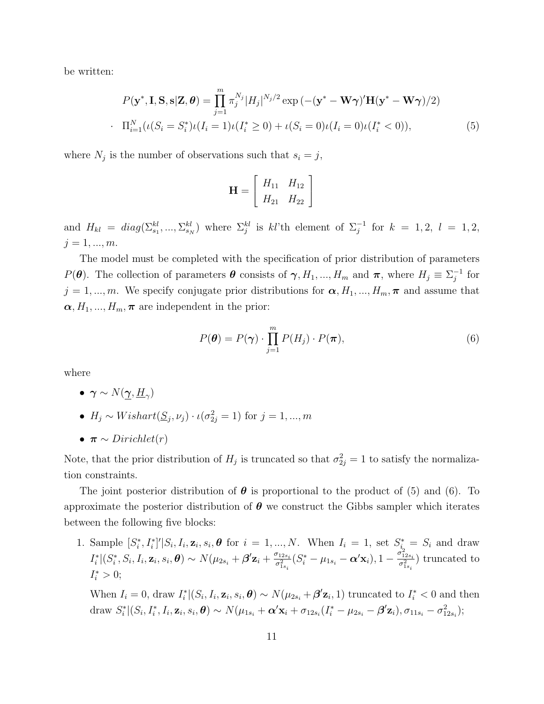be written:

$$
P(\mathbf{y}^*, \mathbf{I}, \mathbf{S}, \mathbf{s} | \mathbf{Z}, \boldsymbol{\theta}) = \prod_{j=1}^m \pi_j^{N_j} |H_j|^{N_j/2} \exp\left(-(\mathbf{y}^* - \mathbf{W}\boldsymbol{\gamma})'\mathbf{H}(\mathbf{y}^* - \mathbf{W}\boldsymbol{\gamma})/2\right)
$$
  
 
$$
\prod_{i=1}^N (\iota(S_i = S_i^*)\iota(I_i = 1)\iota(I_i^* \ge 0) + \iota(S_i = 0)\iota(I_i = 0)\iota(I_i^* < 0)),
$$
 (5)

where  $N_j$  is the number of observations such that  $s_i = j$ ,

$$
\mathbf{H} = \left[ \begin{array}{cc} H_{11} & H_{12} \\ H_{21} & H_{22} \end{array} \right]
$$

and  $H_{kl} = diag(\sum_{s_1}^{kl}, ..., \sum_{s_N}^{kl})$  where  $\sum_{j}^{kl}$  is  $kl$ 'th element of  $\sum_{j}^{-1}$  for  $k = 1, 2, l = 1, 2,$  $j = 1, ..., m$ .

The model must be completed with the specification of prior distribution of parameters  $P(\theta)$ . The collection of parameters  $\theta$  consists of  $\gamma$ ,  $H_1, ..., H_m$  and  $\pi$ , where  $H_j \equiv \Sigma_j^{-1}$  for  $j = 1, ..., m$ . We specify conjugate prior distributions for  $\boldsymbol{\alpha}, H_1, ..., H_m, \boldsymbol{\pi}$  and assume that  $\alpha, H_1, ..., H_m, \pi$  are independent in the prior:

$$
P(\boldsymbol{\theta}) = P(\boldsymbol{\gamma}) \cdot \prod_{j=1}^{m} P(H_j) \cdot P(\boldsymbol{\pi}), \qquad (6)
$$

where

- $\bullet~~ \boldsymbol{\gamma} \sim N(\underline{\boldsymbol{\gamma}}, \underline{H}_\gamma)$
- $H_j \sim Wishart(\underline{S}_j, \nu_j) \cdot \iota(\sigma_{2j}^2 = 1)$  for  $j = 1, ..., m$
- $\pi \sim Dirichlet(r)$

Note, that the prior distribution of  $H_j$  is truncated so that  $\sigma_{2j}^2 = 1$  to satisfy the normalization constraints.

The joint posterior distribution of  $\theta$  is proportional to the product of (5) and (6). To approximate the posterior distribution of  $\theta$  we construct the Gibbs sampler which iterates between the following five blocks:

1. Sample  $[S_i^*, I_i^*]' | S_i, I_i, \mathbf{z}_i, s_i, \theta \text{ for } i = 1, ..., N$ . When  $I_i = 1$ , set  $S_i^* = S_i$  and draw  $I_i^* | (S_i^*, S_i, I_i, \mathbf{z}_i, s_i, \boldsymbol{\theta}) \sim N(\mu_{2s_i} + \boldsymbol{\beta}' \mathbf{z}_i + \frac{\sigma_{12s_i}}{\sigma_i^2})$  $\frac{\sigma^{_{12s_i}}_{12s_i}}{\sigma^2_{1s_i}}(S^*_i - \mu_{1s_i} - \bm{\alpha}'{\mathbf{x}}_i), 1 - \frac{\sigma^2_{12s_i}}{\sigma^2_{1s_i}}$  $\frac{\sigma_{12s_i}^{212s_i}}{\sigma_{1s_i}^{2}}$  truncated to  $I_i^* > 0;$ 

When  $I_i = 0$ , draw  $I_i^* | (S_i, I_i, \mathbf{z}_i, s_i, \boldsymbol{\theta}) \sim N(\mu_{2s_i} + \boldsymbol{\beta'} \mathbf{z}_i, 1)$  truncated to  $I_i^* < 0$  and then  $\text{draw } S_i^* | (S_i, I_i^*, I_i, \mathbf{z}_i, s_i, \boldsymbol{\theta}) \sim N(\mu_{1s_i} + \boldsymbol{\alpha}' \mathbf{x}_i + \sigma_{12s_i} (I_i^* - \mu_{2s_i} - \boldsymbol{\beta}' \mathbf{z}_i), \sigma_{11s_i} - \sigma_{12s_i}^2);$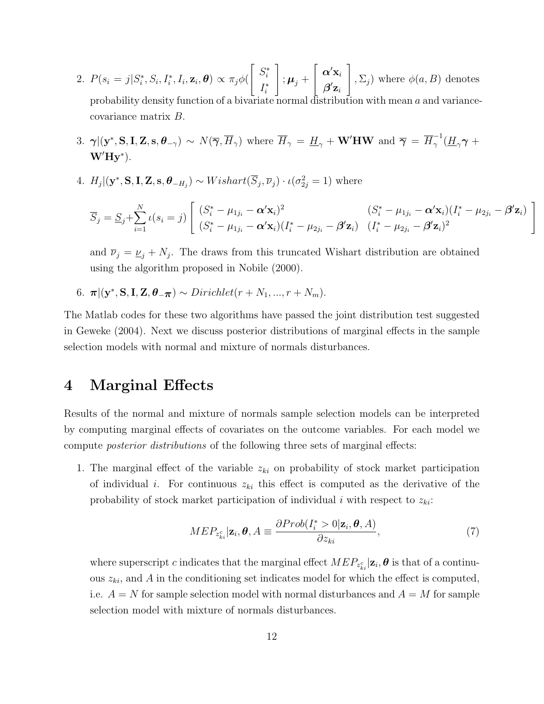- 2.  $P(s_i = j | S_i^*, S_i, I_i^*, I_i, \mathbf{z}_i, \boldsymbol{\theta}) \propto \pi_j \phi$  $\lceil$  $\overline{\phantom{a}}$  $S_i^*$  $I_i^*$ 1  $\big|$  ;  $\boldsymbol{\mu}_j$  +  $\lceil$  $\overline{1}$  $\boldsymbol{\alpha}'{\mathbf{x}_i}$  $\boldsymbol{\beta}'{\bf z}_i$ 1  $\bigg|, \Sigma_j$ ) where  $\phi(a, B)$  denotes probability density function of a bivariate normal distribution with mean a and variancecovariance matrix B.
- 3.  $\gamma |(\mathbf{y}^*, \mathbf{S}, \mathbf{I}, \mathbf{Z}, \mathbf{s}, \boldsymbol{\theta}_{-\gamma}) \sim N(\overline{\gamma}, \overline{H}_{\gamma})$  where  $\overline{H}_{\gamma} = \underline{H}_{\gamma} + \mathbf{W}'\mathbf{HW}$  and  $\overline{\gamma} = \overline{H}_{\gamma}^{-1}$  $\frac{1}{\gamma}(\underline{H}_{\gamma}\boldsymbol{\gamma} +$  $W'$ Hy<sup>\*</sup>).
- 4.  $H_j|(\mathbf{y}^*, \mathbf{S}, \mathbf{I}, \mathbf{Z}, \mathbf{s}, \boldsymbol{\theta}_{-H_j}) \sim Wishart(\overline{S}_j, \overline{\nu}_j) \cdot \iota(\sigma_{2j}^2 = 1)$  where

$$
\overline{S}_j = \underline{S}_j + \sum_{i=1}^N \iota(s_i = j) \begin{bmatrix} (S_i^* - \mu_{1j_i} - \boldsymbol{\alpha}' \mathbf{x}_i)^2 & (S_i^* - \mu_{1j_i} - \boldsymbol{\alpha}' \mathbf{x}_i)(I_i^* - \mu_{2j_i} - \boldsymbol{\beta}' \mathbf{z}_i) \\ (S_i^* - \mu_{1j_i} - \boldsymbol{\alpha}' \mathbf{x}_i)(I_i^* - \mu_{2j_i} - \boldsymbol{\beta}' \mathbf{z}_i) & (I_i^* - \mu_{2j_i} - \boldsymbol{\beta}' \mathbf{z}_i)^2 \end{bmatrix}
$$

1  $\overline{1}$ 

and  $\overline{\nu}_j = \underline{\nu}_j + N_j$ . The draws from this truncated Wishart distribution are obtained using the algorithm proposed in Nobile (2000).

6.  $\pi | (\mathbf{y}^*, \mathbf{S}, \mathbf{I}, \mathbf{Z}, \boldsymbol{\theta}_{-\boldsymbol{\pi}}) \sim Dirichlet(r + N_1, ..., r + N_m).$ 

The Matlab codes for these two algorithms have passed the joint distribution test suggested in Geweke (2004). Next we discuss posterior distributions of marginal effects in the sample selection models with normal and mixture of normals disturbances.

#### 4 Marginal Effects

Results of the normal and mixture of normals sample selection models can be interpreted by computing marginal effects of covariates on the outcome variables. For each model we compute posterior distributions of the following three sets of marginal effects:

1. The marginal effect of the variable  $z_{ki}$  on probability of stock market participation of individual i. For continuous  $z_{ki}$  this effect is computed as the derivative of the probability of stock market participation of individual i with respect to  $z_{ki}$ :

$$
MEP_{z_{ki}^c}|\mathbf{z}_i, \boldsymbol{\theta}, A \equiv \frac{\partial Prob(I_i^* > 0 | \mathbf{z}_i, \boldsymbol{\theta}, A)}{\partial z_{ki}},
$$
\n<sup>(7)</sup>

where superscript c indicates that the marginal effect  $MEP_{z_{ki}^c}|\mathbf{z}_i, \boldsymbol{\theta}$  is that of a continuous  $z_{ki}$ , and A in the conditioning set indicates model for which the effect is computed, i.e.  $A = N$  for sample selection model with normal disturbances and  $A = M$  for sample selection model with mixture of normals disturbances.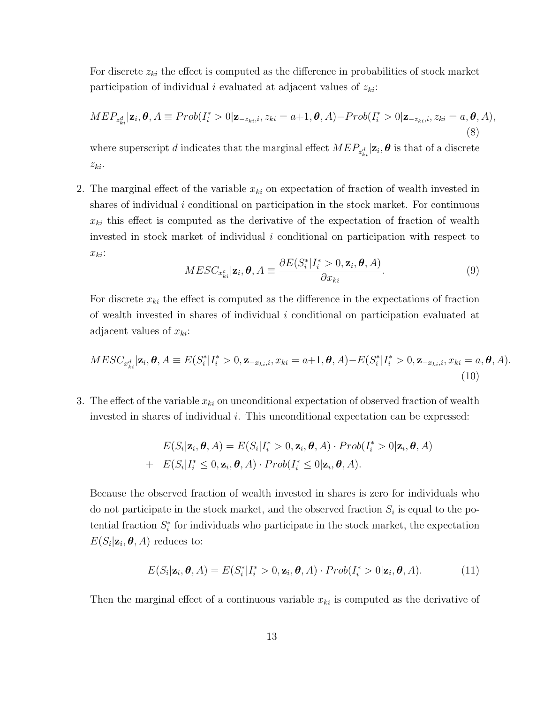For discrete  $z_{ki}$  the effect is computed as the difference in probabilities of stock market participation of individual i evaluated at adjacent values of  $z_{ki}$ :

$$
MEP_{z_{ki}^d}|\mathbf{z}_i, \boldsymbol{\theta}, A \equiv Prob(I_i^* > 0 | \mathbf{z}_{-z_{ki},i}, z_{ki} = a+1, \boldsymbol{\theta}, A) - Prob(I_i^* > 0 | \mathbf{z}_{-z_{ki},i}, z_{ki} = a, \boldsymbol{\theta}, A),
$$
\n(8)

where superscript  $d$  indicates that the marginal effect  $MEP_{z_{ki}^d} | \mathbf{z}_i, \boldsymbol{\theta}$  is that of a discrete  $z_{ki}$ .

2. The marginal effect of the variable  $x_{ki}$  on expectation of fraction of wealth invested in shares of individual i conditional on participation in the stock market. For continuous  $x_{ki}$  this effect is computed as the derivative of the expectation of fraction of wealth invested in stock market of individual  $i$  conditional on participation with respect to  $x_{ki}$ :

$$
MESC_{x_{ki}^c}|\mathbf{z}_i, \boldsymbol{\theta}, A \equiv \frac{\partial E(S_i^* | I_i^* > 0, \mathbf{z}_i, \boldsymbol{\theta}, A)}{\partial x_{ki}}.
$$
\n(9)

For discrete  $x_{ki}$  the effect is computed as the difference in the expectations of fraction of wealth invested in shares of individual  $i$  conditional on participation evaluated at adjacent values of  $x_{ki}$ :

$$
MESC_{x_{ki}^d}|\mathbf{z}_i, \boldsymbol{\theta}, A \equiv E(S_i^* | I_i^* > 0, \mathbf{z}_{-x_{ki},i}, x_{ki} = a+1, \boldsymbol{\theta}, A) - E(S_i^* | I_i^* > 0, \mathbf{z}_{-x_{ki},i}, x_{ki} = a, \boldsymbol{\theta}, A).
$$
\n(10)

3. The effect of the variable  $x_{ki}$  on unconditional expectation of observed fraction of wealth invested in shares of individual i. This unconditional expectation can be expressed:

$$
E(S_i|\mathbf{z}_i, \boldsymbol{\theta}, A) = E(S_i|I_i^* > 0, \mathbf{z}_i, \boldsymbol{\theta}, A) \cdot Prob(I_i^* > 0|\mathbf{z}_i, \boldsymbol{\theta}, A)
$$
  
+ 
$$
E(S_i|I_i^* \leq 0, \mathbf{z}_i, \boldsymbol{\theta}, A) \cdot Prob(I_i^* \leq 0|\mathbf{z}_i, \boldsymbol{\theta}, A).
$$

Because the observed fraction of wealth invested in shares is zero for individuals who do not participate in the stock market, and the observed fraction  $S_i$  is equal to the potential fraction  $S_i^*$  for individuals who participate in the stock market, the expectation  $E(S_i|\mathbf{z}_i, \boldsymbol{\theta}, A)$  reduces to:

$$
E(S_i|\mathbf{z}_i,\boldsymbol{\theta},A) = E(S_i^*|I_i^* > 0,\mathbf{z}_i,\boldsymbol{\theta},A) \cdot Prob(I_i^* > 0|\mathbf{z}_i,\boldsymbol{\theta},A). \tag{11}
$$

Then the marginal effect of a continuous variable  $x_{ki}$  is computed as the derivative of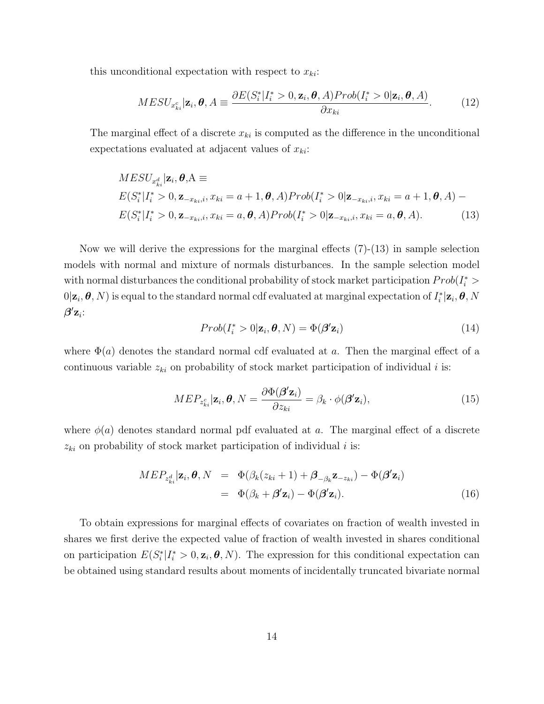this unconditional expectation with respect to  $x_{ki}$ :

$$
MESU_{x_{ki}^c}|\mathbf{z}_i, \boldsymbol{\theta}, A \equiv \frac{\partial E(S_i^*|I_i^* > 0, \mathbf{z}_i, \boldsymbol{\theta}, A)Prob(I_i^* > 0|\mathbf{z}_i, \boldsymbol{\theta}, A)}{\partial x_{ki}}.
$$
(12)

The marginal effect of a discrete  $x_{ki}$  is computed as the difference in the unconditional expectations evaluated at adjacent values of  $x_{ki}$ :

$$
MESU_{x_{ki}^d} | \mathbf{z}_i, \theta, A \equiv
$$
  
\n
$$
E(S_i^* | I_i^* > 0, \mathbf{z}_{-x_{ki},i}, x_{ki} = a+1, \theta, A) Prob(I_i^* > 0 | \mathbf{z}_{-x_{ki},i}, x_{ki} = a+1, \theta, A) -
$$
  
\n
$$
E(S_i^* | I_i^* > 0, \mathbf{z}_{-x_{ki},i}, x_{ki} = a, \theta, A) Prob(I_i^* > 0 | \mathbf{z}_{-x_{ki},i}, x_{ki} = a, \theta, A).
$$
 (13)

Now we will derive the expressions for the marginal effects (7)-(13) in sample selection models with normal and mixture of normals disturbances. In the sample selection model with normal disturbances the conditional probability of stock market participation  $Prob(I_i^* > I_i^*)$  $0|\mathbf{z}_i,\bm{\theta},N)$  is equal to the standard normal cdf evaluated at marginal expectation of  $I_i^*|\mathbf{z}_i,\bm{\theta},N$  $\boldsymbol{\beta}'{\bf z}_i$ :

$$
Prob(I_i^* > 0 | \mathbf{z}_i, \boldsymbol{\theta}, N) = \Phi(\boldsymbol{\beta}' \mathbf{z}_i)
$$
\n(14)

where  $\Phi(a)$  denotes the standard normal cdf evaluated at a. Then the marginal effect of a continuous variable  $z_{ki}$  on probability of stock market participation of individual i is:

$$
MEP_{z_{ki}^c}|\mathbf{z}_i, \boldsymbol{\theta}, N = \frac{\partial \Phi(\boldsymbol{\beta}' \mathbf{z}_i)}{\partial z_{ki}} = \beta_k \cdot \phi(\boldsymbol{\beta}' \mathbf{z}_i),
$$
\n(15)

where  $\phi(a)$  denotes standard normal pdf evaluated at a. The marginal effect of a discrete  $z_{ki}$  on probability of stock market participation of individual i is:

$$
MEP_{z_{ki}^d}|\mathbf{z}_i, \boldsymbol{\theta}, N = \Phi(\beta_k(z_{ki} + 1) + \boldsymbol{\beta}_{-\beta_k} \mathbf{z}_{-z_{ki}}) - \Phi(\boldsymbol{\beta}' \mathbf{z}_i)
$$
  
= 
$$
\Phi(\beta_k + \boldsymbol{\beta}' \mathbf{z}_i) - \Phi(\boldsymbol{\beta}' \mathbf{z}_i).
$$
 (16)

To obtain expressions for marginal effects of covariates on fraction of wealth invested in shares we first derive the expected value of fraction of wealth invested in shares conditional on participation  $E(S_i^* | I_i^* > 0, \mathbf{z}_i, \boldsymbol{\theta}, N)$ . The expression for this conditional expectation can be obtained using standard results about moments of incidentally truncated bivariate normal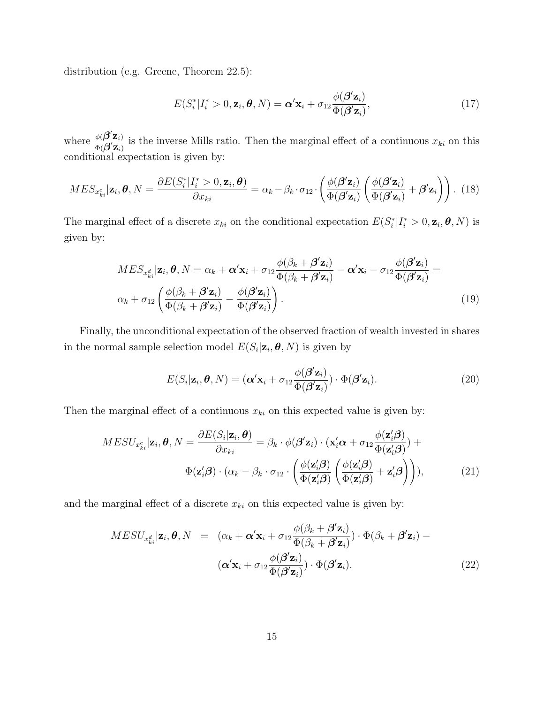distribution (e.g. Greene, Theorem 22.5):

$$
E(S_i^* | I_i^* > 0, \mathbf{z}_i, \boldsymbol{\theta}, N) = \boldsymbol{\alpha}' \mathbf{x}_i + \sigma_{12} \frac{\phi(\boldsymbol{\beta}' \mathbf{z}_i)}{\Phi(\boldsymbol{\beta}' \mathbf{z}_i)},
$$
(17)

where  $\frac{\phi(\boldsymbol{\beta}'\mathbf{z}_i)}{\phi(\boldsymbol{\beta}'\mathbf{z}_i)}$  $\frac{\phi(\bm{D} \mathbf{Z}_i)}{\Phi(\bm{\beta}' \mathbf{Z}_i)}$  is the inverse Mills ratio. Then the marginal effect of a continuous  $x_{ki}$  on this conditional expectation is given by:

$$
MES_{x_{ki}^c}|\mathbf{z}_i, \boldsymbol{\theta}, N = \frac{\partial E(S_i^* | I_i^* > 0, \mathbf{z}_i, \boldsymbol{\theta})}{\partial x_{ki}} = \alpha_k - \beta_k \cdot \sigma_{12} \cdot \left(\frac{\phi(\boldsymbol{\beta}'\mathbf{z}_i)}{\Phi(\boldsymbol{\beta}'\mathbf{z}_i)} \left(\frac{\phi(\boldsymbol{\beta}'\mathbf{z}_i)}{\Phi(\boldsymbol{\beta}'\mathbf{z}_i)} + \boldsymbol{\beta}'\mathbf{z}_i\right)\right). \tag{18}
$$

The marginal effect of a discrete  $x_{ki}$  on the conditional expectation  $E(S_i^* | I_i^* > 0, \mathbf{z}_i, \boldsymbol{\theta}, N)$  is given by:

$$
MES_{x_{ki}^d}|\mathbf{z}_i, \boldsymbol{\theta}, N = \alpha_k + \boldsymbol{\alpha}'\mathbf{x}_i + \sigma_{12}\frac{\phi(\beta_k + \boldsymbol{\beta}'\mathbf{z}_i)}{\Phi(\beta_k + \boldsymbol{\beta}'\mathbf{z}_i)} - \boldsymbol{\alpha}'\mathbf{x}_i - \sigma_{12}\frac{\phi(\boldsymbol{\beta}'\mathbf{z}_i)}{\Phi(\boldsymbol{\beta}'\mathbf{z}_i)} =
$$
  

$$
\alpha_k + \sigma_{12}\left(\frac{\phi(\beta_k + \boldsymbol{\beta}'\mathbf{z}_i)}{\Phi(\beta_k + \boldsymbol{\beta}'\mathbf{z}_i)} - \frac{\phi(\boldsymbol{\beta}'\mathbf{z}_i)}{\Phi(\boldsymbol{\beta}'\mathbf{z}_i)}\right).
$$
(19)

Finally, the unconditional expectation of the observed fraction of wealth invested in shares in the normal sample selection model  $E(S_i | \mathbf{z}_i, \boldsymbol{\theta}, N)$  is given by

$$
E(S_i|\mathbf{z}_i, \boldsymbol{\theta}, N) = (\boldsymbol{\alpha}'\mathbf{x}_i + \sigma_{12} \frac{\phi(\boldsymbol{\beta}'\mathbf{z}_i)}{\Phi(\boldsymbol{\beta}'\mathbf{z}_i)}) \cdot \Phi(\boldsymbol{\beta}'\mathbf{z}_i).
$$
(20)

Then the marginal effect of a continuous  $x_{ki}$  on this expected value is given by:

$$
MESU_{x_{ki}^c}|\mathbf{z}_i, \boldsymbol{\theta}, N = \frac{\partial E(S_i|\mathbf{z}_i, \boldsymbol{\theta})}{\partial x_{ki}} = \beta_k \cdot \phi(\boldsymbol{\beta}'\mathbf{z}_i) \cdot (\mathbf{x}_i'\mathbf{\alpha} + \sigma_{12} \frac{\phi(\mathbf{z}_i'\mathbf{\beta})}{\Phi(\mathbf{z}_i'\mathbf{\beta})}) +
$$

$$
\Phi(\mathbf{z}_i'\mathbf{\beta}) \cdot (\alpha_k - \beta_k \cdot \sigma_{12} \cdot \left(\frac{\phi(\mathbf{z}_i'\mathbf{\beta})}{\Phi(\mathbf{z}_i'\mathbf{\beta})} \left(\frac{\phi(\mathbf{z}_i'\mathbf{\beta})}{\Phi(\mathbf{z}_i'\mathbf{\beta})} + \mathbf{z}_i'\mathbf{\beta}\right)\right)),
$$
(21)

and the marginal effect of a discrete  $x_{ki}$  on this expected value is given by:

$$
MESU_{x_{ki}^d}|\mathbf{z}_i, \boldsymbol{\theta}, N = (\alpha_k + \boldsymbol{\alpha}'\mathbf{x}_i + \sigma_{12}\frac{\phi(\beta_k + \boldsymbol{\beta}'\mathbf{z}_i)}{\Phi(\beta_k + \boldsymbol{\beta}'\mathbf{z}_i)}) \cdot \Phi(\beta_k + \boldsymbol{\beta}'\mathbf{z}_i) - (\boldsymbol{\alpha}'\mathbf{x}_i + \sigma_{12}\frac{\phi(\boldsymbol{\beta}'\mathbf{z}_i)}{\Phi(\boldsymbol{\beta}'\mathbf{z}_i)}) \cdot \Phi(\boldsymbol{\beta}'\mathbf{z}_i).
$$
(22)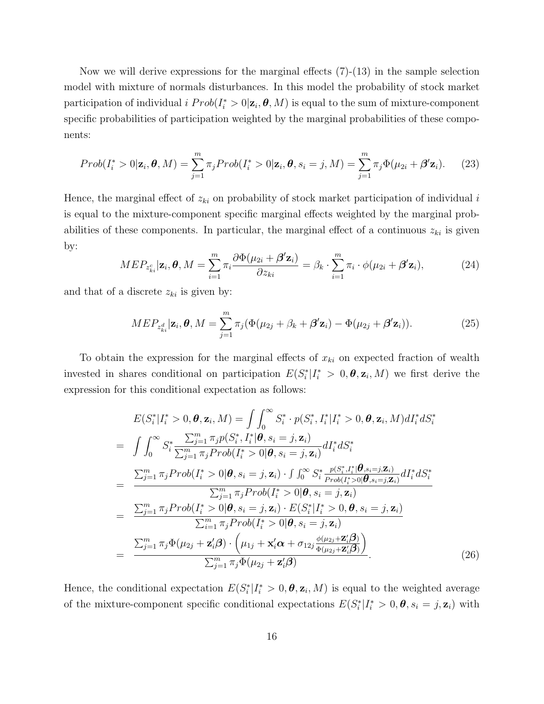Now we will derive expressions for the marginal effects (7)-(13) in the sample selection model with mixture of normals disturbances. In this model the probability of stock market participation of individual  $i \; Prob(I_i^* > 0 | \mathbf{z}_i, \boldsymbol{\theta}, M)$  is equal to the sum of mixture-component specific probabilities of participation weighted by the marginal probabilities of these components:

$$
Prob(I_i^* > 0 | \mathbf{z}_i, \boldsymbol{\theta}, M) = \sum_{j=1}^m \pi_j Prob(I_i^* > 0 | \mathbf{z}_i, \boldsymbol{\theta}, s_i = j, M) = \sum_{j=1}^m \pi_j \Phi(\mu_{2i} + \boldsymbol{\beta}' \mathbf{z}_i).
$$
 (23)

Hence, the marginal effect of  $z_{ki}$  on probability of stock market participation of individual i is equal to the mixture-component specific marginal effects weighted by the marginal probabilities of these components. In particular, the marginal effect of a continuous  $z_{ki}$  is given by:

$$
MEP_{z_{ki}^c}|\mathbf{z}_i, \boldsymbol{\theta}, M = \sum_{i=1}^m \pi_i \frac{\partial \Phi(\mu_{2i} + \boldsymbol{\beta}' \mathbf{z}_i)}{\partial z_{ki}} = \beta_k \cdot \sum_{i=1}^m \pi_i \cdot \phi(\mu_{2i} + \boldsymbol{\beta}' \mathbf{z}_i),
$$
(24)

and that of a discrete  $z_{ki}$  is given by:

$$
MEP_{z_{ki}^d}|\mathbf{z}_i, \boldsymbol{\theta}, M = \sum_{j=1}^m \pi_j (\Phi(\mu_{2j} + \beta_k + \boldsymbol{\beta}' \mathbf{z}_i) - \Phi(\mu_{2j} + \boldsymbol{\beta}' \mathbf{z}_i)).
$$
\n(25)

To obtain the expression for the marginal effects of  $x_{ki}$  on expected fraction of wealth invested in shares conditional on participation  $E(S_i^* | I_i^* > 0, \theta, \mathbf{z}_i, M)$  we first derive the expression for this conditional expectation as follows:

$$
E(S_i^* | I_i^* > 0, \boldsymbol{\theta}, \mathbf{z}_i, M) = \int \int_0^\infty S_i^* \cdot p(S_i^*, I_i^* | I_i^* > 0, \boldsymbol{\theta}, \mathbf{z}_i, M) dI_i^* dS_i^*
$$
  
\n
$$
= \int \int_0^\infty S_i^* \frac{\sum_{j=1}^m \pi_j p(S_i^*, I_i^* | \boldsymbol{\theta}, s_i = j, \mathbf{z}_i)}{\sum_{j=1}^m \pi_j Prob(I_i^* > 0 | \boldsymbol{\theta}, s_i = j, \mathbf{z}_i)} dI_i^* dS_i^*
$$
  
\n
$$
= \frac{\sum_{j=1}^m \pi_j Prob(I_i^* > 0 | \boldsymbol{\theta}, s_i = j, \mathbf{z}_i) \cdot \int \int_0^\infty S_i^* \frac{p(S_i^*, I_i^* | \boldsymbol{\theta}, s_i = j, \mathbf{z}_i)}{Prob(I_i^* > 0 | \boldsymbol{\theta}, s_i = j, \mathbf{z}_i)} dI_i^* dS_i^*
$$
  
\n
$$
= \frac{\sum_{j=1}^m \pi_j Prob(I_i^* > 0 | \boldsymbol{\theta}, s_i = j, \mathbf{z}_i) \cdot E(S_i^* | I_i^* > 0, \boldsymbol{\theta}, s_i = j, \mathbf{z}_i)}{\sum_{i=1}^m \pi_j Prob(I_i^* > 0 | \boldsymbol{\theta}, s_i = j, \mathbf{z}_i)}
$$
  
\n
$$
= \frac{\sum_{j=1}^m \pi_j \Phi(\mu_{2j} + \mathbf{z}_i' \boldsymbol{\beta}) \cdot (\mu_{1j} + \mathbf{x}_i' \boldsymbol{\alpha} + \sigma_{12j} \frac{\phi(\mu_{2j} + \mathbf{z}_i' \boldsymbol{\beta})}{\phi(\mu_{2j} + \mathbf{z}_i' \boldsymbol{\beta})})}{\sum_{j=1}^m \pi_j \Phi(\mu_{2j} + \mathbf{z}_i' \boldsymbol{\beta})}.
$$
(26)

Hence, the conditional expectation  $E(S_i^* | I_i^* > 0, \theta, \mathbf{z}_i, M)$  is equal to the weighted average of the mixture-component specific conditional expectations  $E(S_i^* | I_i^* > 0, \theta, s_i = j, \mathbf{z}_i)$  with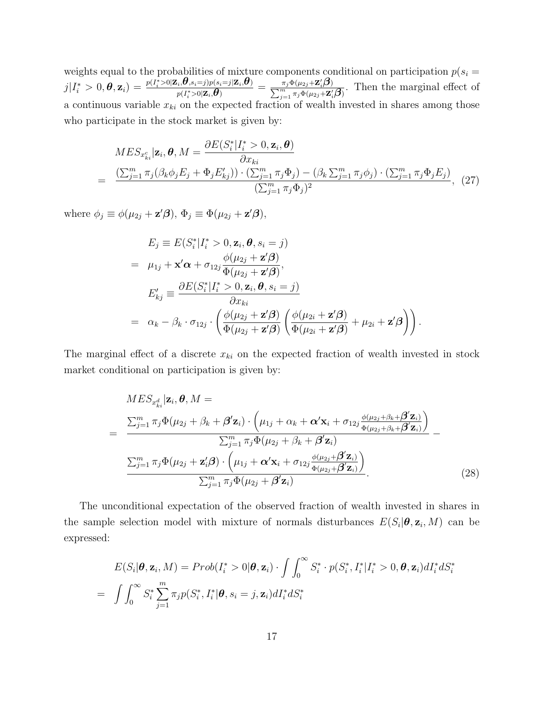weights equal to the probabilities of mixture components conditional on participation  $p(s_i =$  $j|I_i^* > 0, \hat{\bm{\theta}}, \mathbf{z}_i) = \frac{p(I_i^* > 0 | \mathbf{Z}_i, \hat{\bm{\theta}} , s_i = j) p(s_i = j | \mathbf{Z}_i, \hat{\bm{\theta}} )}{p(I^* > 0 | \mathbf{Z}_i, \hat{\bm{\theta}} )}$  $\frac{\partial p(i, \theta, s_i = j)p(s_i = j | \mathbf{Z}_i, \theta)}{p(I_i^* > 0 | \mathbf{Z}_i, \theta)} = \frac{\overline{\pi_j} \Phi(\mu_{2j} + \mathbf{Z}_i' \beta)}{\sum_{j=1}^m \pi_j \Phi(\mu_{2j} + \mathbf{Z}_i' \beta)}.$  Then the marginal effect of a continuous variable  $x_{ki}$  on the expected fraction of wealth invested in shares among those who participate in the stock market is given by:

$$
MES_{x_{ki}^c}|\mathbf{z}_i, \boldsymbol{\theta}, M = \frac{\partial E(S_i^* | I_i^* > 0, \mathbf{z}_i, \boldsymbol{\theta})}{\partial x_{ki}}
$$
  
= 
$$
\frac{(\sum_{j=1}^m \pi_j(\beta_k \phi_j E_j + \Phi_j E_{kj}')) \cdot (\sum_{j=1}^m \pi_j \Phi_j) - (\beta_k \sum_{j=1}^m \pi_j \phi_j) \cdot (\sum_{j=1}^m \pi_j \Phi_j E_j)}{(\sum_{j=1}^m \pi_j \Phi_j)^2},
$$
 (27)

where  $\phi_j \equiv \phi(\mu_{2j} + \mathbf{z}'\boldsymbol{\beta}), \, \Phi_j \equiv \Phi(\mu_{2j} + \mathbf{z}'\boldsymbol{\beta}),$ 

$$
E_j \equiv E(S_i^* | I_i^* > 0, \mathbf{z}_i, \boldsymbol{\theta}, s_i = j)
$$
  
\n
$$
= \mu_{1j} + \mathbf{x}' \boldsymbol{\alpha} + \sigma_{12j} \frac{\phi(\mu_{2j} + \mathbf{z}' \boldsymbol{\beta})}{\Phi(\mu_{2j} + \mathbf{z}' \boldsymbol{\beta})},
$$
  
\n
$$
E'_{kj} \equiv \frac{\partial E(S_i^* | I_i^* > 0, \mathbf{z}_i, \boldsymbol{\theta}, s_i = j)}{\partial x_{ki}}
$$
  
\n
$$
= \alpha_k - \beta_k \cdot \sigma_{12j} \cdot \left( \frac{\phi(\mu_{2j} + \mathbf{z}' \boldsymbol{\beta})}{\Phi(\mu_{2j} + \mathbf{z}' \boldsymbol{\beta})} \left( \frac{\phi(\mu_{2i} + \mathbf{z}' \boldsymbol{\beta})}{\Phi(\mu_{2i} + \mathbf{z}' \boldsymbol{\beta})} + \mu_{2i} + \mathbf{z}' \boldsymbol{\beta} \right) \right).
$$

The marginal effect of a discrete  $x_{ki}$  on the expected fraction of wealth invested in stock market conditional on participation is given by:

$$
MES_{x_{ki}^d}|\mathbf{z}_i, \boldsymbol{\theta}, M =
$$
\n
$$
= \frac{\sum_{j=1}^m \pi_j \Phi(\mu_{2j} + \beta_k + \boldsymbol{\beta}' \mathbf{z}_i) \cdot \left(\mu_{1j} + \alpha_k + \boldsymbol{\alpha}' \mathbf{x}_i + \sigma_{12j} \frac{\phi(\mu_{2j} + \beta_k + \boldsymbol{\beta}' \mathbf{z}_i)}{\Phi(\mu_{2j} + \beta_k + \boldsymbol{\beta}' \mathbf{z}_i)}\right)}{\sum_{j=1}^m \pi_j \Phi(\mu_{2j} + \beta_k + \boldsymbol{\beta}' \mathbf{z}_i)}
$$
\n
$$
= \frac{\sum_{j=1}^m \pi_j \Phi(\mu_{2j} + \mathbf{z}'_i \boldsymbol{\beta}) \cdot \left(\mu_{1j} + \boldsymbol{\alpha}' \mathbf{x}_i + \sigma_{12j} \frac{\phi(\mu_{2j} + \boldsymbol{\beta}' \mathbf{z}_i)}{\Phi(\mu_{2j} + \boldsymbol{\beta}' \mathbf{z}_i)}\right)}{\sum_{j=1}^m \pi_j \Phi(\mu_{2j} + \boldsymbol{\beta}' \mathbf{z}_i)}.
$$
\n(28)

The unconditional expectation of the observed fraction of wealth invested in shares in the sample selection model with mixture of normals disturbances  $E(S_i | \theta, \mathbf{z}_i, M)$  can be expressed:

$$
E(S_i|\boldsymbol{\theta}, \mathbf{z}_i, M) = Prob(I_i^* > 0|\boldsymbol{\theta}, \mathbf{z}_i) \cdot \int \int_0^\infty S_i^* \cdot p(S_i^*, I_i^* | I_i^* > 0, \boldsymbol{\theta}, \mathbf{z}_i) dI_i^* dS_i^*
$$
  
= 
$$
\int \int_0^\infty S_i^* \sum_{j=1}^m \pi_j p(S_i^*, I_i^* | \boldsymbol{\theta}, s_i = j, \mathbf{z}_i) dI_i^* dS_i^*
$$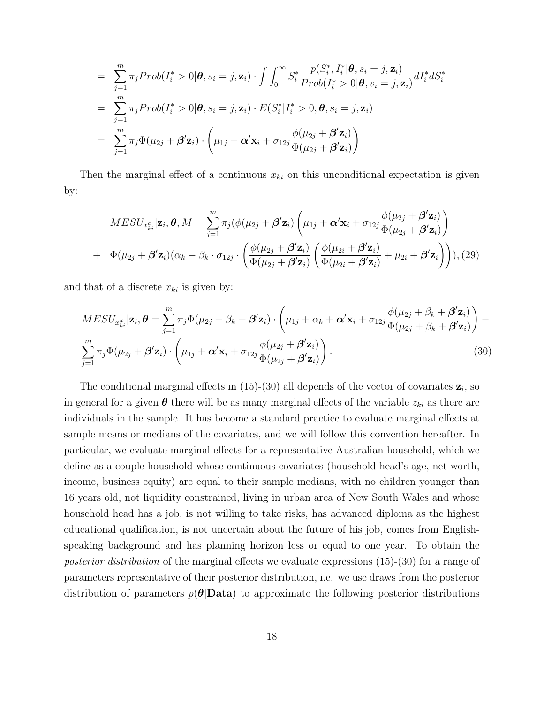$$
= \sum_{j=1}^{m} \pi_j Prob(I_i^* > 0 | \boldsymbol{\theta}, s_i = j, \mathbf{z}_i) \cdot \int \int_0^\infty S_i^* \frac{p(S_i^*, I_i^* | \boldsymbol{\theta}, s_i = j, \mathbf{z}_i)}{Prob(I_i^* > 0 | \boldsymbol{\theta}, s_i = j, \mathbf{z}_i)} dI_i^* dS_i^*
$$
  
\n
$$
= \sum_{j=1}^{m} \pi_j Prob(I_i^* > 0 | \boldsymbol{\theta}, s_i = j, \mathbf{z}_i) \cdot E(S_i^* | I_i^* > 0, \boldsymbol{\theta}, s_i = j, \mathbf{z}_i)
$$
  
\n
$$
= \sum_{j=1}^{m} \pi_j \Phi(\mu_{2j} + \boldsymbol{\beta}' \mathbf{z}_i) \cdot \left(\mu_{1j} + \boldsymbol{\alpha}' \mathbf{x}_i + \sigma_{12j} \frac{\phi(\mu_{2j} + \boldsymbol{\beta}' \mathbf{z}_i)}{\Phi(\mu_{2j} + \boldsymbol{\beta}' \mathbf{z}_i)}\right)
$$

Then the marginal effect of a continuous  $x_{ki}$  on this unconditional expectation is given by:

$$
MESU_{x_{ki}^c}|\mathbf{z}_i, \boldsymbol{\theta}, M = \sum_{j=1}^m \pi_j(\phi(\mu_{2j} + \boldsymbol{\beta}'\mathbf{z}_i) \left(\mu_{1j} + \boldsymbol{\alpha}'\mathbf{x}_i + \sigma_{12j} \frac{\phi(\mu_{2j} + \boldsymbol{\beta}'\mathbf{z}_i)}{\Phi(\mu_{2j} + \boldsymbol{\beta}'\mathbf{z}_i)}\right)
$$
  
+ 
$$
\Phi(\mu_{2j} + \boldsymbol{\beta}'\mathbf{z}_i)(\alpha_k - \beta_k \cdot \sigma_{12j} \cdot \left(\frac{\phi(\mu_{2j} + \boldsymbol{\beta}'\mathbf{z}_i)}{\Phi(\mu_{2j} + \boldsymbol{\beta}'\mathbf{z}_i)} \left(\frac{\phi(\mu_{2i} + \boldsymbol{\beta}'\mathbf{z}_i)}{\Phi(\mu_{2i} + \boldsymbol{\beta}'\mathbf{z}_i)} + \mu_{2i} + \boldsymbol{\beta}'\mathbf{z}_i\right)\right)), (29)
$$

and that of a discrete  $x_{ki}$  is given by:

$$
MESU_{x_{ki}^d}|\mathbf{z}_i, \boldsymbol{\theta} = \sum_{j=1}^m \pi_j \Phi(\mu_{2j} + \beta_k + \boldsymbol{\beta}' \mathbf{z}_i) \cdot \left(\mu_{1j} + \alpha_k + \boldsymbol{\alpha}' \mathbf{x}_i + \sigma_{12j} \frac{\phi(\mu_{2j} + \beta_k + \boldsymbol{\beta}' \mathbf{z}_i)}{\Phi(\mu_{2j} + \beta_k + \boldsymbol{\beta}' \mathbf{z}_i)}\right) - \sum_{j=1}^m \pi_j \Phi(\mu_{2j} + \boldsymbol{\beta}' \mathbf{z}_i) \cdot \left(\mu_{1j} + \boldsymbol{\alpha}' \mathbf{x}_i + \sigma_{12j} \frac{\phi(\mu_{2j} + \boldsymbol{\beta}' \mathbf{z}_i)}{\Phi(\mu_{2j} + \boldsymbol{\beta}' \mathbf{z}_i)}\right).
$$
(30)

The conditional marginal effects in  $(15)-(30)$  all depends of the vector of covariates  $z_i$ , so in general for a given  $\theta$  there will be as many marginal effects of the variable  $z_{ki}$  as there are individuals in the sample. It has become a standard practice to evaluate marginal effects at sample means or medians of the covariates, and we will follow this convention hereafter. In particular, we evaluate marginal effects for a representative Australian household, which we define as a couple household whose continuous covariates (household head's age, net worth, income, business equity) are equal to their sample medians, with no children younger than 16 years old, not liquidity constrained, living in urban area of New South Wales and whose household head has a job, is not willing to take risks, has advanced diploma as the highest educational qualification, is not uncertain about the future of his job, comes from Englishspeaking background and has planning horizon less or equal to one year. To obtain the posterior distribution of the marginal effects we evaluate expressions (15)-(30) for a range of parameters representative of their posterior distribution, i.e. we use draws from the posterior distribution of parameters  $p(\theta|\textbf{Data})$  to approximate the following posterior distributions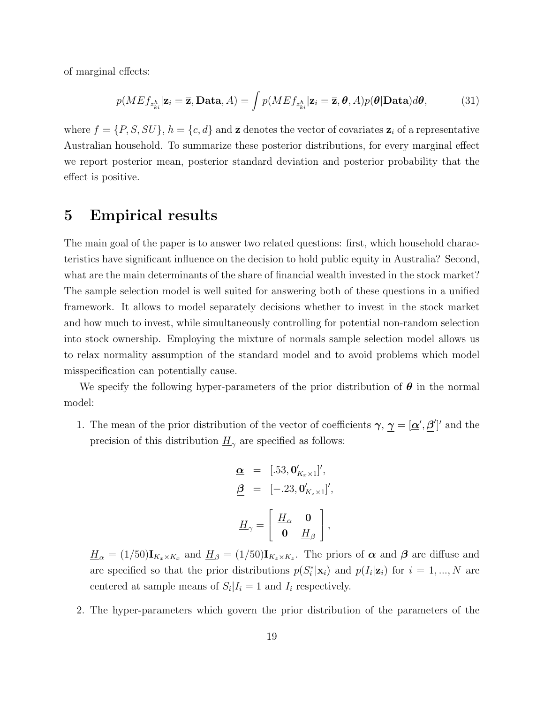of marginal effects:

$$
p(ME f_{z_{ki}^h}|\mathbf{z}_i = \overline{\mathbf{z}}, \mathbf{Data}, A) = \int p(ME f_{z_{ki}^h}|\mathbf{z}_i = \overline{\mathbf{z}}, \boldsymbol{\theta}, A)p(\boldsymbol{\theta}|\mathbf{Data})d\boldsymbol{\theta},
$$
(31)

where  $f = \{P, S, SU\}, h = \{c, d\}$  and  $\overline{z}$  denotes the vector of covariates  $z_i$  of a representative Australian household. To summarize these posterior distributions, for every marginal effect we report posterior mean, posterior standard deviation and posterior probability that the effect is positive.

### 5 Empirical results

The main goal of the paper is to answer two related questions: first, which household characteristics have significant influence on the decision to hold public equity in Australia? Second, what are the main determinants of the share of financial wealth invested in the stock market? The sample selection model is well suited for answering both of these questions in a unified framework. It allows to model separately decisions whether to invest in the stock market and how much to invest, while simultaneously controlling for potential non-random selection into stock ownership. Employing the mixture of normals sample selection model allows us to relax normality assumption of the standard model and to avoid problems which model misspecification can potentially cause.

We specify the following hyper-parameters of the prior distribution of  $\theta$  in the normal model:

1. The mean of the prior distribution of the vector of coefficients  $\gamma$ ,  $\gamma = [\underline{\alpha}', \beta']'$  and the precision of this distribution  $\underline{H}_{\gamma}$  are specified as follows:

$$
\mathbf{\underline{\alpha}} = [.53, \mathbf{0}'_{K_x \times 1}]',
$$
  

$$
\mathbf{\underline{\beta}} = [-.23, \mathbf{0}'_{K_z \times 1}]',
$$
  

$$
\mathbf{\underline{H}}_{\gamma} = \begin{bmatrix} \mathbf{\underline{H}}_{\alpha} & \mathbf{0} \\ \mathbf{0} & \mathbf{\underline{H}}_{\beta} \end{bmatrix},
$$

 $\underline{H}_{\alpha} = (1/50) \mathbf{I}_{K_x \times K_x}$  and  $\underline{H}_{\beta} = (1/50) \mathbf{I}_{K_z \times K_z}$ . The priors of  $\alpha$  and  $\beta$  are diffuse and are specified so that the prior distributions  $p(S_i^*|\mathbf{x}_i)$  and  $p(I_i|\mathbf{z}_i)$  for  $i=1,...,N$  are centered at sample means of  $S_i | I_i = 1$  and  $I_i$  respectively.

2. The hyper-parameters which govern the prior distribution of the parameters of the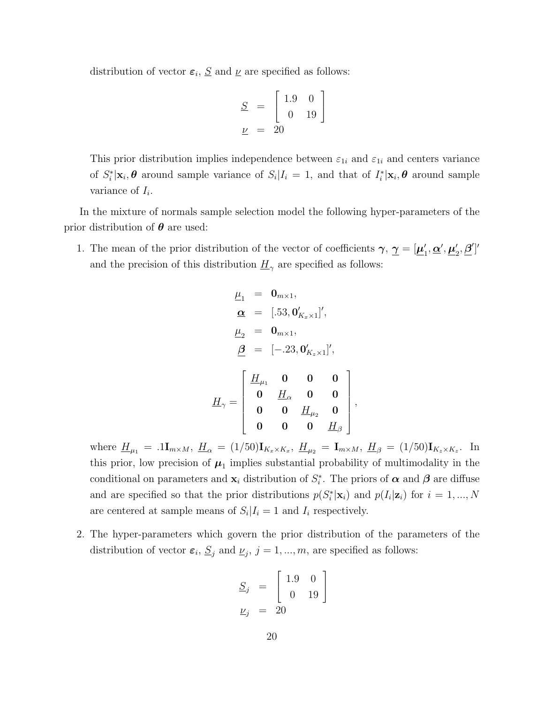distribution of vector  $\varepsilon_i$ ,  $S$  and  $\nu$  are specified as follows:

$$
\underline{S} = \begin{bmatrix} 1.9 & 0 \\ 0 & 19 \end{bmatrix}
$$

$$
\underline{\nu} = 20
$$

This prior distribution implies independence between  $\varepsilon_{1i}$  and  $\varepsilon_{1i}$  and centers variance of  $S_i^*|\mathbf{x}_i, \boldsymbol{\theta}$  around sample variance of  $S_i|I_i = 1$ , and that of  $I_i^*|\mathbf{x}_i, \boldsymbol{\theta}$  around sample variance of  $I_i$ .

In the mixture of normals sample selection model the following hyper-parameters of the prior distribution of  $\theta$  are used:

1. The mean of the prior distribution of the vector of coefficients  $\gamma$ ,  $\gamma = [\mu]$  $_{1}^{\prime },\underline{\alpha}^{\prime},\underline{\mu}_{2}^{\prime}$  $\binom{1}{2}, \underline{\boldsymbol{\beta}}']'$ and the precision of this distribution  $\underline{H}_{\gamma}$  are specified as follows:

$$
\underline{\mu}_{1} = \mathbf{0}_{m \times 1},
$$
\n
$$
\underline{\alpha} = [.53, \mathbf{0}_{K_x \times 1}'],
$$
\n
$$
\underline{\mu}_{2} = \mathbf{0}_{m \times 1},
$$
\n
$$
\underline{\beta} = [-.23, \mathbf{0}_{K_z \times 1}'],
$$
\n
$$
\underline{H}_{\gamma} = \begin{bmatrix} \underline{H}_{\mu_1} & \mathbf{0} & \mathbf{0} & \mathbf{0} \\ \mathbf{0} & \underline{H}_{\alpha} & \mathbf{0} & \mathbf{0} \\ \mathbf{0} & \mathbf{0} & \underline{H}_{\mu_2} & \mathbf{0} \\ \mathbf{0} & \mathbf{0} & \mathbf{0} & \underline{H}_{\beta} \end{bmatrix}
$$

,

where  $\underline{H}_{\mu_1} = .1\mathbf{I}_{m \times M}$ ,  $\underline{H}_{\alpha} = (1/50)\mathbf{I}_{K_x \times K_x}$ ,  $\underline{H}_{\mu_2} = \mathbf{I}_{m \times M}$ ,  $\underline{H}_{\beta} = (1/50)\mathbf{I}_{K_z \times K_z}$ . In this prior, low precision of  $\mu_1$  implies substantial probability of multimodality in the conditional on parameters and  $\mathbf{x}_i$  distribution of  $S_i^*$ . The priors of  $\boldsymbol{\alpha}$  and  $\boldsymbol{\beta}$  are diffuse and are specified so that the prior distributions  $p(S_i^*|\mathbf{x}_i)$  and  $p(I_i|\mathbf{z}_i)$  for  $i=1,...,N$ are centered at sample means of  $S_i | I_i = 1$  and  $I_i$  respectively.

2. The hyper-parameters which govern the prior distribution of the parameters of the distribution of vector  $\varepsilon_i$ ,  $\underline{S}_j$  and  $\underline{\nu}_j$ ,  $j = 1, ..., m$ , are specified as follows:

$$
\begin{array}{rcl} \underline{S}_j &=& \left[\begin{array}{cc} 1.9 & 0 \\ 0 & 19 \end{array}\right] \\ \underline{\nu}_j &=& 20 \end{array} \label{eq:21}
$$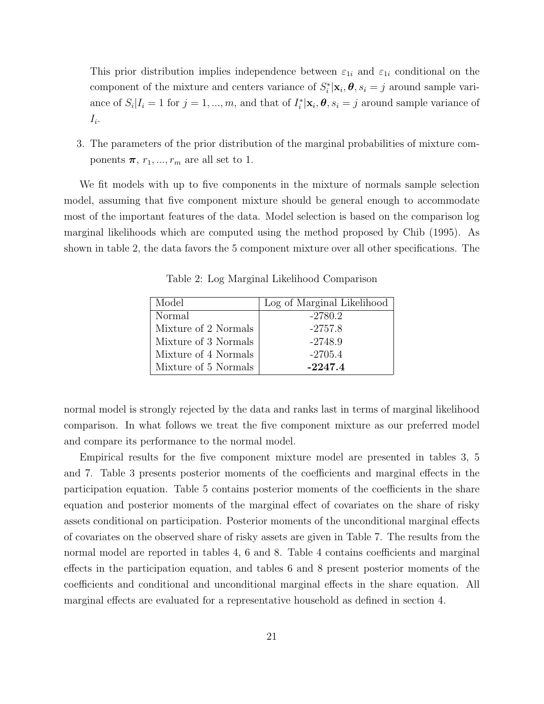This prior distribution implies independence between  $\varepsilon_{1i}$  and  $\varepsilon_{1i}$  conditional on the component of the mixture and centers variance of  $S_i^*|\mathbf{x}_i, \boldsymbol{\theta}, s_i = j$  around sample variance of  $S_i|I_i = 1$  for  $j = 1, ..., m$ , and that of  $I_i^*|\mathbf{x}_i, \boldsymbol{\theta}, s_i = j$  around sample variance of  $I_i$ .

3. The parameters of the prior distribution of the marginal probabilities of mixture components  $\pi$ ,  $r_1$ , ...,  $r_m$  are all set to 1.

We fit models with up to five components in the mixture of normals sample selection model, assuming that five component mixture should be general enough to accommodate most of the important features of the data. Model selection is based on the comparison log marginal likelihoods which are computed using the method proposed by Chib (1995). As shown in table 2, the data favors the 5 component mixture over all other specifications. The

| Model                | Log of Marginal Likelihood |
|----------------------|----------------------------|
| Normal               | $-2780.2$                  |
| Mixture of 2 Normals | $-2757.8$                  |
| Mixture of 3 Normals | $-2748.9$                  |
| Mixture of 4 Normals | $-2705.4$                  |
| Mixture of 5 Normals | $-2247.4$                  |

Table 2: Log Marginal Likelihood Comparison

normal model is strongly rejected by the data and ranks last in terms of marginal likelihood comparison. In what follows we treat the five component mixture as our preferred model and compare its performance to the normal model.

Empirical results for the five component mixture model are presented in tables 3, 5 and 7. Table 3 presents posterior moments of the coefficients and marginal effects in the participation equation. Table 5 contains posterior moments of the coefficients in the share equation and posterior moments of the marginal effect of covariates on the share of risky assets conditional on participation. Posterior moments of the unconditional marginal effects of covariates on the observed share of risky assets are given in Table 7. The results from the normal model are reported in tables 4, 6 and 8. Table 4 contains coefficients and marginal effects in the participation equation, and tables 6 and 8 present posterior moments of the coefficients and conditional and unconditional marginal effects in the share equation. All marginal effects are evaluated for a representative household as defined in section 4.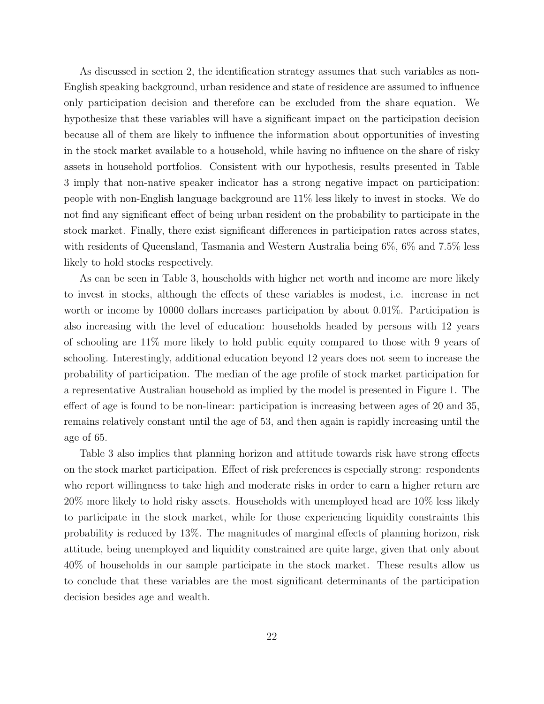As discussed in section 2, the identification strategy assumes that such variables as non-English speaking background, urban residence and state of residence are assumed to influence only participation decision and therefore can be excluded from the share equation. We hypothesize that these variables will have a significant impact on the participation decision because all of them are likely to influence the information about opportunities of investing in the stock market available to a household, while having no influence on the share of risky assets in household portfolios. Consistent with our hypothesis, results presented in Table 3 imply that non-native speaker indicator has a strong negative impact on participation: people with non-English language background are 11% less likely to invest in stocks. We do not find any significant effect of being urban resident on the probability to participate in the stock market. Finally, there exist significant differences in participation rates across states, with residents of Queensland, Tasmania and Western Australia being 6%, 6% and 7.5% less likely to hold stocks respectively.

As can be seen in Table 3, households with higher net worth and income are more likely to invest in stocks, although the effects of these variables is modest, i.e. increase in net worth or income by 10000 dollars increases participation by about 0.01%. Participation is also increasing with the level of education: households headed by persons with 12 years of schooling are 11% more likely to hold public equity compared to those with 9 years of schooling. Interestingly, additional education beyond 12 years does not seem to increase the probability of participation. The median of the age profile of stock market participation for a representative Australian household as implied by the model is presented in Figure 1. The effect of age is found to be non-linear: participation is increasing between ages of 20 and 35, remains relatively constant until the age of 53, and then again is rapidly increasing until the age of 65.

Table 3 also implies that planning horizon and attitude towards risk have strong effects on the stock market participation. Effect of risk preferences is especially strong: respondents who report willingness to take high and moderate risks in order to earn a higher return are 20% more likely to hold risky assets. Households with unemployed head are 10% less likely to participate in the stock market, while for those experiencing liquidity constraints this probability is reduced by 13%. The magnitudes of marginal effects of planning horizon, risk attitude, being unemployed and liquidity constrained are quite large, given that only about 40% of households in our sample participate in the stock market. These results allow us to conclude that these variables are the most significant determinants of the participation decision besides age and wealth.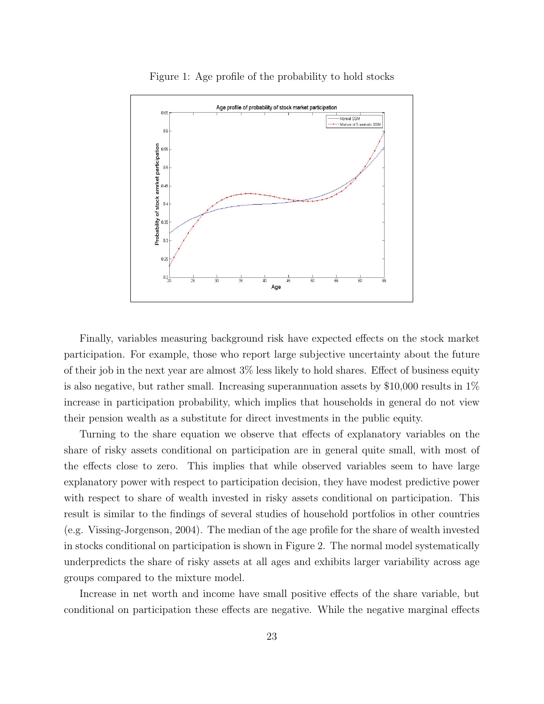

Figure 1: Age profile of the probability to hold stocks

Finally, variables measuring background risk have expected effects on the stock market participation. For example, those who report large subjective uncertainty about the future of their job in the next year are almost 3% less likely to hold shares. Effect of business equity is also negative, but rather small. Increasing superannuation assets by  $$10,000$  results in  $1\%$ increase in participation probability, which implies that households in general do not view their pension wealth as a substitute for direct investments in the public equity.

Turning to the share equation we observe that effects of explanatory variables on the share of risky assets conditional on participation are in general quite small, with most of the effects close to zero. This implies that while observed variables seem to have large explanatory power with respect to participation decision, they have modest predictive power with respect to share of wealth invested in risky assets conditional on participation. This result is similar to the findings of several studies of household portfolios in other countries (e.g. Vissing-Jorgenson, 2004). The median of the age profile for the share of wealth invested in stocks conditional on participation is shown in Figure 2. The normal model systematically underpredicts the share of risky assets at all ages and exhibits larger variability across age groups compared to the mixture model.

Increase in net worth and income have small positive effects of the share variable, but conditional on participation these effects are negative. While the negative marginal effects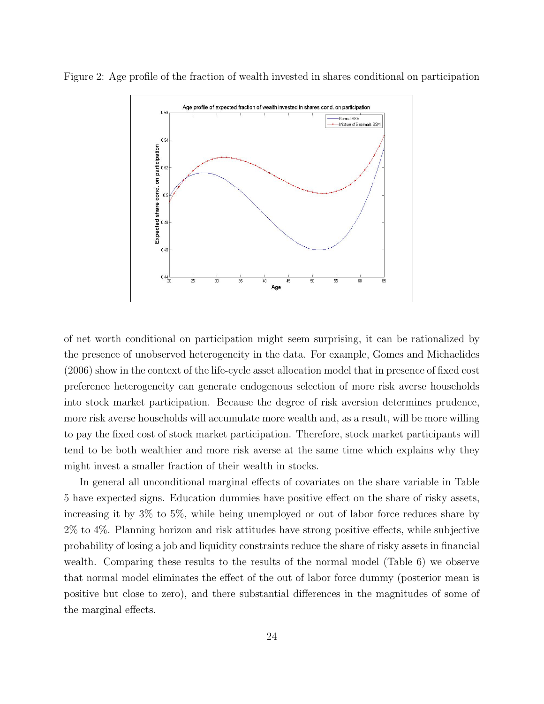Figure 2: Age profile of the fraction of wealth invested in shares conditional on participation



of net worth conditional on participation might seem surprising, it can be rationalized by the presence of unobserved heterogeneity in the data. For example, Gomes and Michaelides (2006) show in the context of the life-cycle asset allocation model that in presence of fixed cost preference heterogeneity can generate endogenous selection of more risk averse households into stock market participation. Because the degree of risk aversion determines prudence, more risk averse households will accumulate more wealth and, as a result, will be more willing to pay the fixed cost of stock market participation. Therefore, stock market participants will tend to be both wealthier and more risk averse at the same time which explains why they might invest a smaller fraction of their wealth in stocks.

In general all unconditional marginal effects of covariates on the share variable in Table 5 have expected signs. Education dummies have positive effect on the share of risky assets, increasing it by 3% to 5%, while being unemployed or out of labor force reduces share by 2% to 4%. Planning horizon and risk attitudes have strong positive effects, while subjective probability of losing a job and liquidity constraints reduce the share of risky assets in financial wealth. Comparing these results to the results of the normal model (Table 6) we observe that normal model eliminates the effect of the out of labor force dummy (posterior mean is positive but close to zero), and there substantial differences in the magnitudes of some of the marginal effects.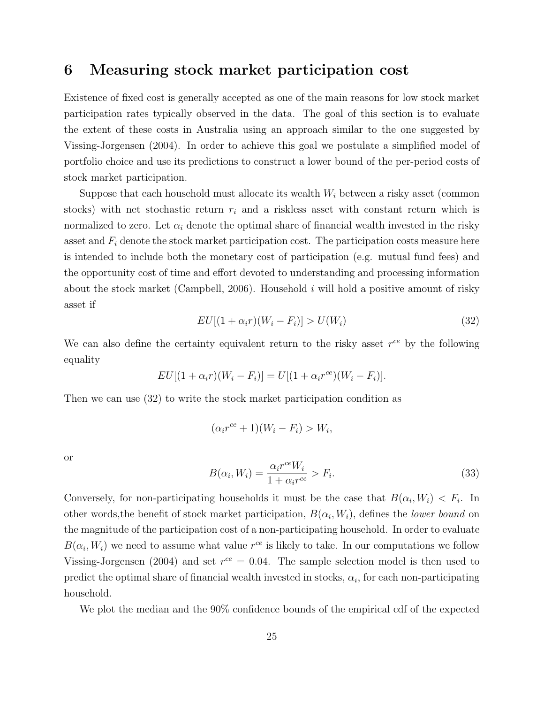#### 6 Measuring stock market participation cost

Existence of fixed cost is generally accepted as one of the main reasons for low stock market participation rates typically observed in the data. The goal of this section is to evaluate the extent of these costs in Australia using an approach similar to the one suggested by Vissing-Jorgensen (2004). In order to achieve this goal we postulate a simplified model of portfolio choice and use its predictions to construct a lower bound of the per-period costs of stock market participation.

Suppose that each household must allocate its wealth  $W_i$  between a risky asset (common stocks) with net stochastic return  $r_i$  and a riskless asset with constant return which is normalized to zero. Let  $\alpha_i$  denote the optimal share of financial wealth invested in the risky asset and  $F_i$  denote the stock market participation cost. The participation costs measure here is intended to include both the monetary cost of participation (e.g. mutual fund fees) and the opportunity cost of time and effort devoted to understanding and processing information about the stock market (Campbell, 2006). Household  $i$  will hold a positive amount of risky asset if

$$
EU[(1+\alpha_i r)(W_i - F_i)] > U(W_i)
$$
\n
$$
(32)
$$

We can also define the certainty equivalent return to the risky asset  $r^{ce}$  by the following equality

$$
EU[(1 + \alpha_i r)(W_i - F_i)] = U[(1 + \alpha_i r^{ce})(W_i - F_i)].
$$

Then we can use (32) to write the stock market participation condition as

$$
(\alpha_i r^{ce} + 1)(W_i - F_i) > W_i,
$$

or

$$
B(\alpha_i, W_i) = \frac{\alpha_i r^{ce} W_i}{1 + \alpha_i r^{ce}} > F_i.
$$
\n(33)

Conversely, for non-participating households it must be the case that  $B(\alpha_i, W_i) < F_i$ . In other words, the benefit of stock market participation,  $B(\alpha_i, W_i)$ , defines the *lower bound* on the magnitude of the participation cost of a non-participating household. In order to evaluate  $B(\alpha_i, W_i)$  we need to assume what value  $r^{ce}$  is likely to take. In our computations we follow Vissing-Jorgensen (2004) and set  $r^{ce} = 0.04$ . The sample selection model is then used to predict the optimal share of financial wealth invested in stocks,  $\alpha_i$ , for each non-participating household.

We plot the median and the  $90\%$  confidence bounds of the empirical cdf of the expected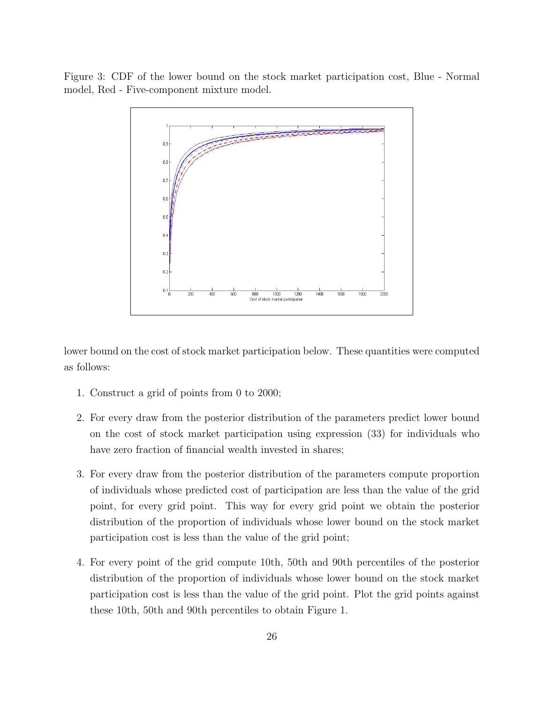Figure 3: CDF of the lower bound on the stock market participation cost, Blue - Normal model, Red - Five-component mixture model.



lower bound on the cost of stock market participation below. These quantities were computed as follows:

- 1. Construct a grid of points from 0 to 2000;
- 2. For every draw from the posterior distribution of the parameters predict lower bound on the cost of stock market participation using expression (33) for individuals who have zero fraction of financial wealth invested in shares;
- 3. For every draw from the posterior distribution of the parameters compute proportion of individuals whose predicted cost of participation are less than the value of the grid point, for every grid point. This way for every grid point we obtain the posterior distribution of the proportion of individuals whose lower bound on the stock market participation cost is less than the value of the grid point;
- 4. For every point of the grid compute 10th, 50th and 90th percentiles of the posterior distribution of the proportion of individuals whose lower bound on the stock market participation cost is less than the value of the grid point. Plot the grid points against these 10th, 50th and 90th percentiles to obtain Figure 1.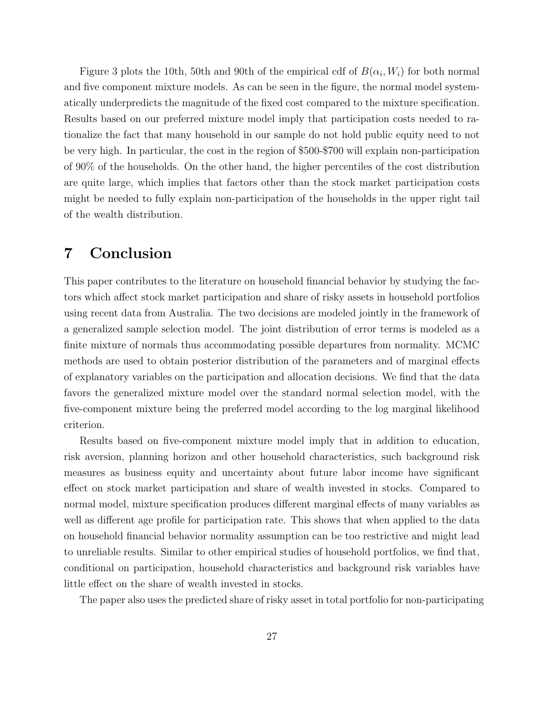Figure 3 plots the 10th, 50th and 90th of the empirical cdf of  $B(\alpha_i, W_i)$  for both normal and five component mixture models. As can be seen in the figure, the normal model systematically underpredicts the magnitude of the fixed cost compared to the mixture specification. Results based on our preferred mixture model imply that participation costs needed to rationalize the fact that many household in our sample do not hold public equity need to not be very high. In particular, the cost in the region of \$500-\$700 will explain non-participation of 90% of the households. On the other hand, the higher percentiles of the cost distribution are quite large, which implies that factors other than the stock market participation costs might be needed to fully explain non-participation of the households in the upper right tail of the wealth distribution.

## 7 Conclusion

This paper contributes to the literature on household financial behavior by studying the factors which affect stock market participation and share of risky assets in household portfolios using recent data from Australia. The two decisions are modeled jointly in the framework of a generalized sample selection model. The joint distribution of error terms is modeled as a finite mixture of normals thus accommodating possible departures from normality. MCMC methods are used to obtain posterior distribution of the parameters and of marginal effects of explanatory variables on the participation and allocation decisions. We find that the data favors the generalized mixture model over the standard normal selection model, with the five-component mixture being the preferred model according to the log marginal likelihood criterion.

Results based on five-component mixture model imply that in addition to education, risk aversion, planning horizon and other household characteristics, such background risk measures as business equity and uncertainty about future labor income have significant effect on stock market participation and share of wealth invested in stocks. Compared to normal model, mixture specification produces different marginal effects of many variables as well as different age profile for participation rate. This shows that when applied to the data on household financial behavior normality assumption can be too restrictive and might lead to unreliable results. Similar to other empirical studies of household portfolios, we find that, conditional on participation, household characteristics and background risk variables have little effect on the share of wealth invested in stocks.

The paper also uses the predicted share of risky asset in total portfolio for non-participating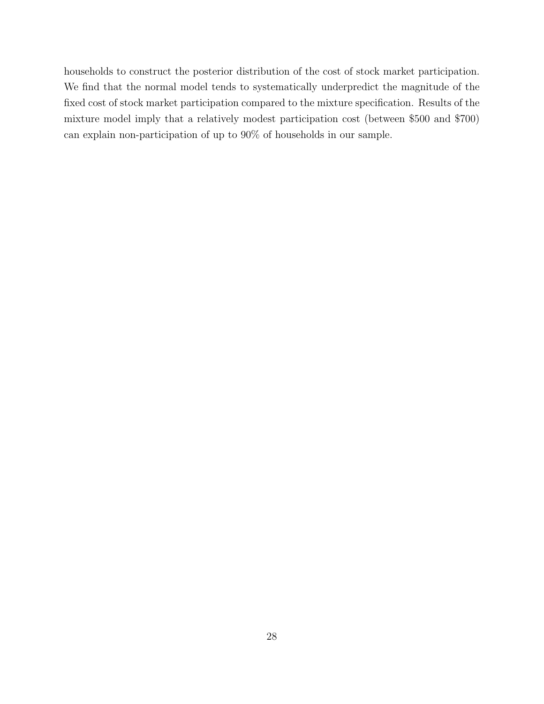households to construct the posterior distribution of the cost of stock market participation. We find that the normal model tends to systematically underpredict the magnitude of the fixed cost of stock market participation compared to the mixture specification. Results of the mixture model imply that a relatively modest participation cost (between \$500 and \$700) can explain non-participation of up to 90% of households in our sample.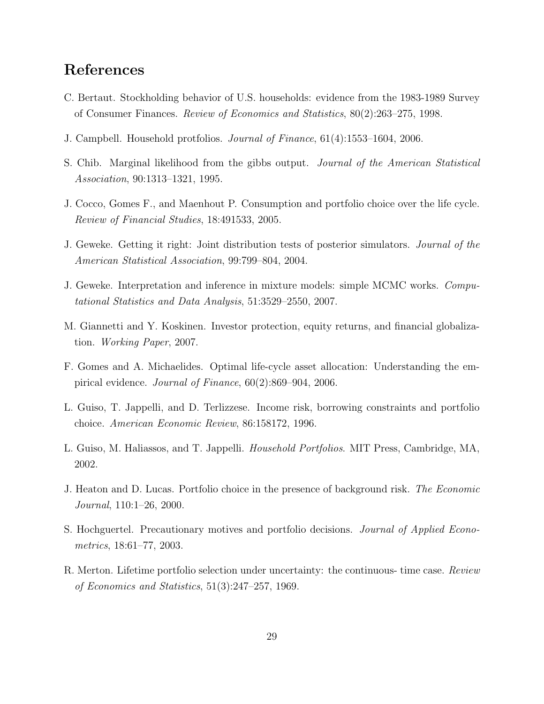## References

- C. Bertaut. Stockholding behavior of U.S. households: evidence from the 1983-1989 Survey of Consumer Finances. Review of Economics and Statistics, 80(2):263–275, 1998.
- J. Campbell. Household protfolios. Journal of Finance, 61(4):1553–1604, 2006.
- S. Chib. Marginal likelihood from the gibbs output. Journal of the American Statistical Association, 90:1313–1321, 1995.
- J. Cocco, Gomes F., and Maenhout P. Consumption and portfolio choice over the life cycle. Review of Financial Studies, 18:491533, 2005.
- J. Geweke. Getting it right: Joint distribution tests of posterior simulators. Journal of the American Statistical Association, 99:799–804, 2004.
- J. Geweke. Interpretation and inference in mixture models: simple MCMC works. Computational Statistics and Data Analysis, 51:3529–2550, 2007.
- M. Giannetti and Y. Koskinen. Investor protection, equity returns, and financial globalization. Working Paper, 2007.
- F. Gomes and A. Michaelides. Optimal life-cycle asset allocation: Understanding the empirical evidence. Journal of Finance, 60(2):869–904, 2006.
- L. Guiso, T. Jappelli, and D. Terlizzese. Income risk, borrowing constraints and portfolio choice. American Economic Review, 86:158172, 1996.
- L. Guiso, M. Haliassos, and T. Jappelli. Household Portfolios. MIT Press, Cambridge, MA, 2002.
- J. Heaton and D. Lucas. Portfolio choice in the presence of background risk. The Economic Journal, 110:1–26, 2000.
- S. Hochguertel. Precautionary motives and portfolio decisions. Journal of Applied Econometrics, 18:61–77, 2003.
- R. Merton. Lifetime portfolio selection under uncertainty: the continuous- time case. Review of Economics and Statistics, 51(3):247–257, 1969.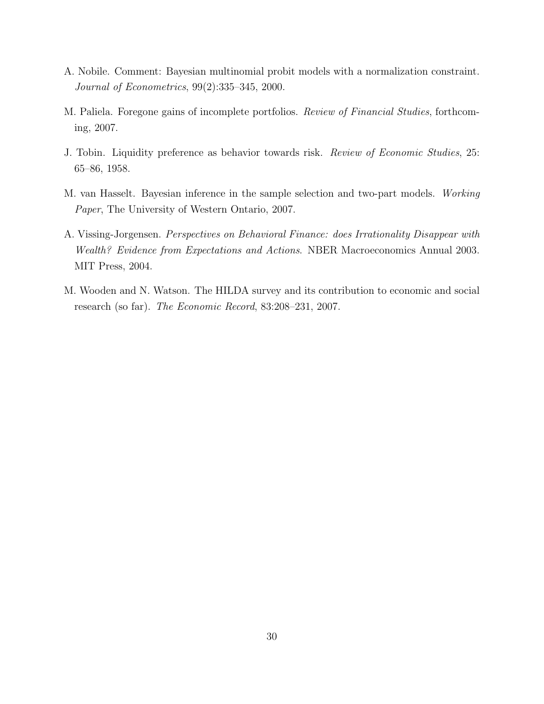- A. Nobile. Comment: Bayesian multinomial probit models with a normalization constraint. Journal of Econometrics, 99(2):335–345, 2000.
- M. Paliela. Foregone gains of incomplete portfolios. Review of Financial Studies, forthcoming, 2007.
- J. Tobin. Liquidity preference as behavior towards risk. Review of Economic Studies, 25: 65–86, 1958.
- M. van Hasselt. Bayesian inference in the sample selection and two-part models. Working Paper, The University of Western Ontario, 2007.
- A. Vissing-Jorgensen. Perspectives on Behavioral Finance: does Irrationality Disappear with Wealth? Evidence from Expectations and Actions. NBER Macroeconomics Annual 2003. MIT Press, 2004.
- M. Wooden and N. Watson. The HILDA survey and its contribution to economic and social research (so far). The Economic Record, 83:208–231, 2007.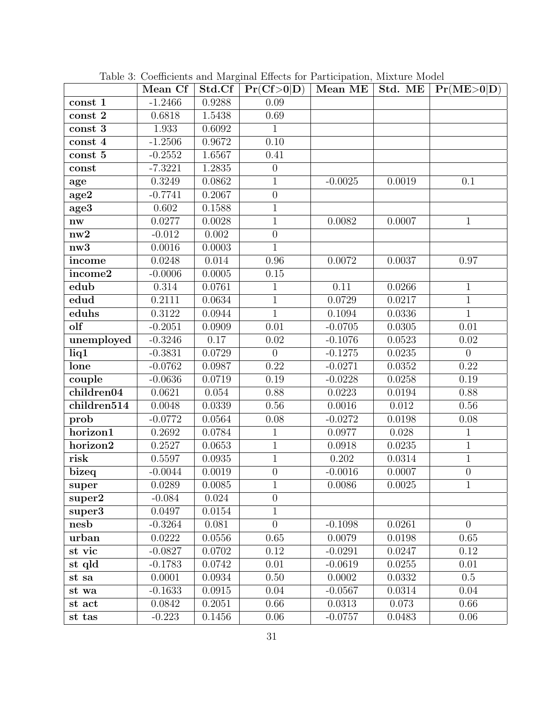|                        | Mean Cf             | $\ddotsc$ $\ddotsc$<br>Std.Cf | Pr(Cf>0 D)       | $\alpha$ . The correction of $\alpha$ |        | Mean ME   Std. ME   $Pr(ME>0 D)$ |
|------------------------|---------------------|-------------------------------|------------------|---------------------------------------|--------|----------------------------------|
| const 1                | $-1.2466$           | 0.9288                        | 0.09             |                                       |        |                                  |
| $\mbox{const}$ 2       | 0.6818              | 1.5438                        | 0.69             |                                       |        |                                  |
| const 3                | 1.933               | 0.6092                        | $\mathbf{1}$     |                                       |        |                                  |
| const 4                | $-1.2506$           | 0.9672                        | 0.10             |                                       |        |                                  |
| const 5                | $-0.2552$           | 1.6567                        | 0.41             |                                       |        |                                  |
| const                  | $-7.3221$           | 1.2835                        | $\theta$         |                                       |        |                                  |
| age                    | 0.3249              | 0.0862                        | $\mathbf 1$      | $-0.0025$                             | 0.0019 | 0.1                              |
| age2                   | $-0.7741$           | 0.2067                        | $\boldsymbol{0}$ |                                       |        |                                  |
| age3                   | 0.602               | 0.1588                        | $\mathbf{1}$     |                                       |        |                                  |
| $\mathbf{n}\mathbf{w}$ | 0.0277              | 0.0028                        | $\mathbf 1$      | 0.0082                                | 0.0007 | $\mathbf{1}$                     |
| nw2                    | $-0.012$            | 0.002                         | $\overline{0}$   |                                       |        |                                  |
| nw3                    | 0.0016              | 0.0003                        | $\mathbf{1}$     |                                       |        |                                  |
| income                 | 0.0248              | 0.014                         | 0.96             | 0.0072                                | 0.0037 | 0.97                             |
| income2                | $-0.0006$           | 0.0005                        | $0.15\,$         |                                       |        |                                  |
| edub                   | 0.314               | 0.0761                        | $\mathbf{1}$     | $\overline{0.11}$                     | 0.0266 | $\overline{1}$                   |
| edud                   | 0.2111              | 0.0634                        | $\mathbf{1}$     | 0.0729                                | 0.0217 | $\mathbf{1}$                     |
| eduhs                  | $\overline{0.3}122$ | 0.0944                        | $\overline{1}$   | 0.1094                                | 0.0336 | $\overline{1}$                   |
| olf                    | $-0.2051$           | 0.0909                        | 0.01             | $-0.0705$                             | 0.0305 | 0.01                             |
| unemployed             | $-0.3246$           | 0.17                          | 0.02             | $-0.1076$                             | 0.0523 | 0.02                             |
| liq1                   | $-0.3831$           | 0.0729                        | $\overline{0}$   | $-0.1275$                             | 0.0235 | $\overline{0}$                   |
| lone                   | $-0.0762$           | 0.0987                        | 0.22             | $-0.0271$                             | 0.0352 | 0.22                             |
| couple                 | $-0.0636$           | 0.0719                        | 0.19             | $-0.0228$                             | 0.0258 | 0.19                             |
| children04             | 0.0621              | 0.054                         | 0.88             | 0.0223                                | 0.0194 | 0.88                             |
| children514            | 0.0048              | 0.0339                        | 0.56             | 0.0016                                | 0.012  | $0.56\,$                         |
| prob                   | $-0.0772$           | 0.0564                        | 0.08             | $-0.0272$                             | 0.0198 | 0.08                             |
| horizon1               | 0.2692              | 0.0784                        | $\mathbf{1}$     | 0.0977                                | 0.028  | $1\,$                            |
| horizon2               | 0.2527              | 0.0653                        | $\mathbf 1$      | 0.0918                                | 0.0235 | $\overline{1}$                   |
| risk                   | 0.5597              | 0.0935                        | $\mathbf{1}$     | 0.202                                 | 0.0314 | $\overline{1}$                   |
| bizeq                  | $-0.0044$           | 0.0019                        | $\boldsymbol{0}$ | $-0.0016$                             | 0.0007 | $\overline{0}$                   |
| super                  | 0.0289              | 0.0085                        | 1                | 0.0086                                | 0.0025 | $\mathbf{1}$                     |
| super2                 | $-0.084$            | 0.024                         | $\overline{0}$   |                                       |        |                                  |
| $super\overline{3}$    | 0.0497              | 0.0154                        | $\mathbf 1$      |                                       |        |                                  |
| nesb                   | $-0.3264$           | 0.081                         | $\overline{0}$   | $-0.1098$                             | 0.0261 | $\overline{0}$                   |
| urban                  | 0.0222              | 0.0556                        | 0.65             | 0.0079                                | 0.0198 | 0.65                             |
| st vic                 | $-0.0827$           | 0.0702                        | 0.12             | $-0.0291$                             | 0.0247 | 0.12                             |
| st qld                 | $-0.1783$           | 0.0742                        | 0.01             | $-0.0619$                             | 0.0255 | 0.01                             |
| st sa                  | 0.0001              | 0.0934                        | 0.50             | 0.0002                                | 0.0332 | 0.5                              |
| st wa                  | $-0.1633$           | 0.0915                        | 0.04             | $-0.0567$                             | 0.0314 | 0.04                             |
| st act                 | 0.0842              | 0.2051                        | 0.66             | 0.0313                                | 0.073  | 0.66                             |
| st tas                 | $-0.223$            | 0.1456                        | $0.06\,$         | $-0.0757$                             | 0.0483 | 0.06                             |

Table 3: Coefficients and Marginal Effects for Participation, Mixture Model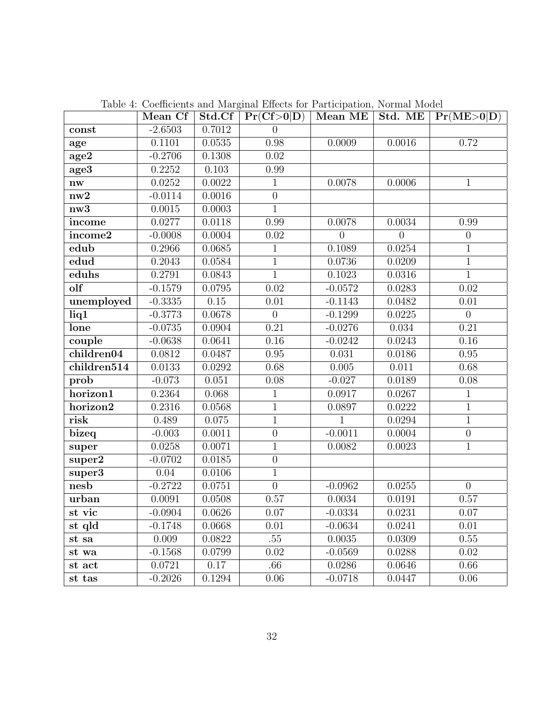|                        | Mean Cf   | Std.Cf | Pr(Cf > 0 D)   | Mean ME        | Std. ME        | Pr(ME>0 D)       |
|------------------------|-----------|--------|----------------|----------------|----------------|------------------|
| const                  | $-2.6503$ | 0.7012 | $\overline{0}$ |                |                |                  |
| age                    | 0.1101    | 0.0535 | 0.98           | 0.0009         | 0.0016         | 0.72             |
| age <sub>2</sub>       | $-0.2706$ | 0.1308 | 0.02           |                |                |                  |
| age3                   | 0.2252    | 0.103  | 0.99           |                |                |                  |
| $\mathbf{n}\mathbf{w}$ | 0.0252    | 0.0022 | $\mathbf{1}$   | 0.0078         | 0.0006         | $\mathbf{1}$     |
| nw2                    | $-0.0114$ | 0.0016 | $\overline{0}$ |                |                |                  |
| nw3                    | 0.0015    | 0.0003 | $\overline{1}$ |                |                |                  |
| income                 | 0.0277    | 0.0118 | 0.99           | 0.0078         | 0.0034         | 0.99             |
| income2                | $-0.0008$ | 0.0004 | 0.02           | $\overline{0}$ | $\overline{0}$ | $\boldsymbol{0}$ |
| edub                   | 0.2966    | 0.0685 | $\mathbf{1}$   | 0.1089         | 0.0254         | $1\,$            |
| edud                   | 0.2043    | 0.0584 | $\overline{1}$ | 0.0736         | 0.0209         | $\overline{1}$   |
| eduhs                  | 0.2791    | 0.0843 | $\mathbf{1}$   | 0.1023         | 0.0316         | $\mathbf{1}$     |
| olf                    | $-0.1579$ | 0.0795 | $0.02\,$       | $-0.0572$      | 0.0283         | $0.02\,$         |
| unemployed             | $-0.3335$ | 0.15   | 0.01           | $-0.1143$      | 0.0482         | $0.01\,$         |
| liq1                   | $-0.3773$ | 0.0678 | $\overline{0}$ | $-0.1299$      | 0.0225         | $\overline{0}$   |
| lone                   | $-0.0735$ | 0.0904 | 0.21           | $-0.0276$      | 0.034          | 0.21             |
| couple                 | $-0.0638$ | 0.0641 | $0.16\,$       | $-0.0242$      | 0.0243         | 0.16             |
| children04             | 0.0812    | 0.0487 | 0.95           | 0.031          | 0.0186         | 0.95             |
| children514            | 0.0133    | 0.0292 | 0.68           | $0.005\,$      | 0.011          | 0.68             |
| prob                   | $-0.073$  | 0.051  | 0.08           | $-0.027$       | 0.0189         | 0.08             |
| horizon1               | 0.2364    | 0.068  | $\mathbf{1}$   | 0.0917         | 0.0267         | $\mathbf{1}$     |
| horizon2               | 0.2316    | 0.0568 | $\overline{1}$ | 0.0897         | 0.0222         | $\overline{1}$   |
| risk                   | 0.489     | 0.075  | $\overline{1}$ | 1              | 0.0294         | $\overline{1}$   |
| bizeq                  | $-0.003$  | 0.0011 | $\overline{0}$ | $-0.0011$      | 0.0004         | $\boldsymbol{0}$ |
| super                  | 0.0258    | 0.0071 | $\mathbf{1}$   | 0.0082         | 0.0023         | $\mathbf{1}$     |
| super2                 | $-0.0702$ | 0.0185 | $\overline{0}$ |                |                |                  |
| super3                 | 0.04      | 0.0106 | $\mathbf{1}$   |                |                |                  |
| nesb                   | $-0.2722$ | 0.0751 | $\overline{0}$ | $-0.0962$      | 0.0255         | $\overline{0}$   |
| urban                  | 0.0091    | 0.0508 | 0.57           | 0.0034         | 0.0191         | 0.57             |
| st vic                 | $-0.0904$ | 0.0626 | 0.07           | $-0.0334$      | 0.0231         | 0.07             |
| st qld                 | $-0.1748$ | 0.0668 | 0.01           | $-0.0634$      | 0.0241         | 0.01             |
| st sa                  | 0.009     | 0.0822 | .55            | 0.0035         | 0.0309         | 0.55             |
| st wa                  | $-0.1568$ | 0.0799 | 0.02           | $-0.0569$      | 0.0288         | 0.02             |
| st act                 | 0.0721    | 0.17   | .66            | 0.0286         | 0.0646         | 0.66             |
| st tas                 | $-0.2026$ | 0.1294 | 0.06           | $-0.0718$      | 0.0447         | 0.06             |

Table 4: Coefficients and Marginal Effects for Participation, Normal Model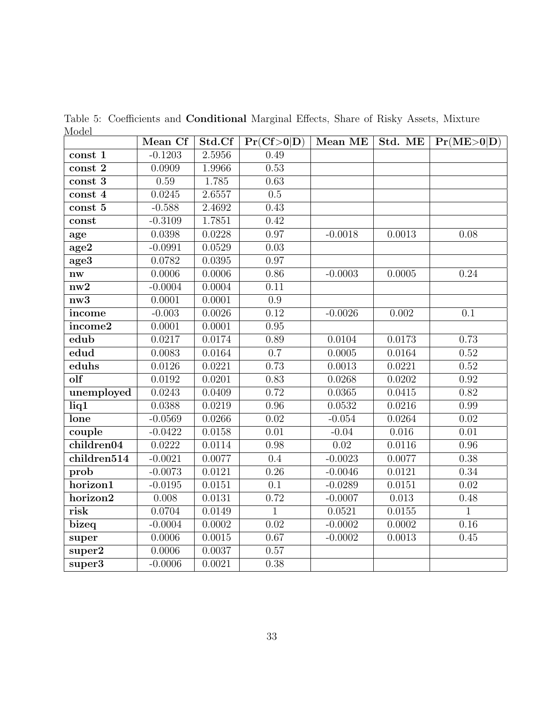| nouvi                  | Mean Cf   | Std.Cf | Pr(Cf>0 D)        |           |        | Mean ME   Std. ME   $Pr(ME>0 D)$ |
|------------------------|-----------|--------|-------------------|-----------|--------|----------------------------------|
| const 1                | $-0.1203$ | 2.5956 | 0.49              |           |        |                                  |
| $const\overline{2}$    | 0.0909    | 1.9966 | 0.53              |           |        |                                  |
| const 3                | $0.59\,$  | 1.785  | 0.63              |           |        |                                  |
| const 4                | 0.0245    | 2.6557 | 0.5               |           |        |                                  |
| const 5                | $-0.588$  | 2.4692 | 0.43              |           |        |                                  |
| const                  | $-0.3109$ | 1.7851 | 0.42              |           |        |                                  |
| age                    | 0.0398    | 0.0228 | 0.97              | $-0.0018$ | 0.0013 | 0.08                             |
| age2                   | $-0.0991$ | 0.0529 | 0.03              |           |        |                                  |
| age3                   | 0.0782    | 0.0395 | $\overline{0.97}$ |           |        |                                  |
| $\mathbf{n}\mathbf{w}$ | 0.0006    | 0.0006 | 0.86              | $-0.0003$ | 0.0005 | 0.24                             |
| nw2                    | $-0.0004$ | 0.0004 | 0.11              |           |        |                                  |
| nw <sub>3</sub>        | 0.0001    | 0.0001 | $\overline{0.9}$  |           |        |                                  |
| income                 | $-0.003$  | 0.0026 | 0.12              | $-0.0026$ | 0.002  | 0.1                              |
| income2                | 0.0001    | 0.0001 | 0.95              |           |        |                                  |
| edub                   | 0.0217    | 0.0174 | 0.89              | 0.0104    | 0.0173 | 0.73                             |
| edud                   | 0.0083    | 0.0164 | $\overline{0.7}$  | 0.0005    | 0.0164 | $\overline{0.52}$                |
| eduhs                  | 0.0126    | 0.0221 | 0.73              | 0.0013    | 0.0221 | 0.52                             |
| olf                    | 0.0192    | 0.0201 | 0.83              | 0.0268    | 0.0202 | 0.92                             |
| unemployed             | 0.0243    | 0.0409 | 0.72              | 0.0365    | 0.0415 | 0.82                             |
| liq1                   | 0.0388    | 0.0219 | 0.96              | 0.0532    | 0.0216 | 0.99                             |
| lone                   | $-0.0569$ | 0.0266 | 0.02              | $-0.054$  | 0.0264 | $\overline{0.02}$                |
| couple                 | $-0.0422$ | 0.0158 | 0.01              | $-0.04$   | 0.016  | 0.01                             |
| children04             | 0.0222    | 0.0114 | 0.98              | 0.02      | 0.0116 | 0.96                             |
| children514            | $-0.0021$ | 0.0077 | $\overline{0.4}$  | $-0.0023$ | 0.0077 | 0.38                             |
| prob                   | $-0.0073$ | 0.0121 | $\overline{0.26}$ | $-0.0046$ | 0.0121 | 0.34                             |
| horizon1               | $-0.0195$ | 0.0151 | $\overline{0.1}$  | $-0.0289$ | 0.0151 | $\overline{0.02}$                |
| horizon2               | 0.008     | 0.0131 | 0.72              | $-0.0007$ | 0.013  | 0.48                             |
| risk                   | 0.0704    | 0.0149 | $\overline{1}$    | 0.0521    | 0.0155 | $\overline{1}$                   |
| bizeq                  | $-0.0004$ | 0.0002 | 0.02              | $-0.0002$ | 0.0002 | 0.16                             |
| super                  | 0.0006    | 0.0015 | 0.67              | $-0.0002$ | 0.0013 | 0.45                             |
| super2                 | 0.0006    | 0.0037 | 0.57              |           |        |                                  |
| $super\overline{3}$    | $-0.0006$ | 0.0021 | 0.38              |           |        |                                  |

Table 5: Coefficients and Conditional Marginal Effects, Share of Risky Assets, Mixture Model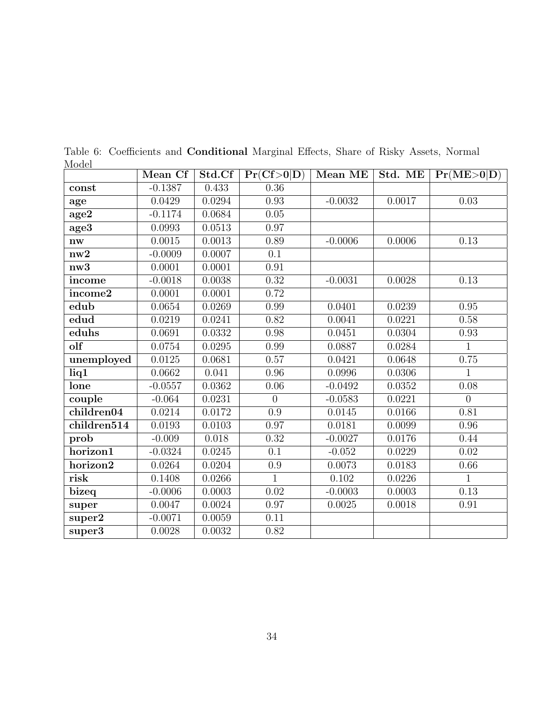|                                 | Mean Cf   | Std.Cf | Pr(Cf>0 D)     | Mean ME   | Std. ME | Pr(ME>0 D)     |
|---------------------------------|-----------|--------|----------------|-----------|---------|----------------|
| const                           | $-0.1387$ | 0.433  | 0.36           |           |         |                |
| age                             | 0.0429    | 0.0294 | 0.93           | $-0.0032$ | 0.0017  | 0.03           |
| age2                            | $-0.1174$ | 0.0684 | 0.05           |           |         |                |
| age3                            | 0.0993    | 0.0513 | 0.97           |           |         |                |
| nw                              | 0.0015    | 0.0013 | 0.89           | $-0.0006$ | 0.0006  | 0.13           |
| nw2                             | $-0.0009$ | 0.0007 | 0.1            |           |         |                |
| nw3                             | 0.0001    | 0.0001 | 0.91           |           |         |                |
| income                          | $-0.0018$ | 0.0038 | 0.32           | $-0.0031$ | 0.0028  | 0.13           |
| income2                         | 0.0001    | 0.0001 | 0.72           |           |         |                |
| edub                            | 0.0654    | 0.0269 | 0.99           | 0.0401    | 0.0239  | 0.95           |
| edud                            | 0.0219    | 0.0241 | 0.82           | 0.0041    | 0.0221  | 0.58           |
| eduhs                           | 0.0691    | 0.0332 | 0.98           | 0.0451    | 0.0304  | 0.93           |
| olf                             | 0.0754    | 0.0295 | 0.99           | 0.0887    | 0.0284  | $\mathbf{1}$   |
| unemployed                      | 0.0125    | 0.0681 | 0.57           | 0.0421    | 0.0648  | 0.75           |
| liq1                            | 0.0662    | 0.041  | 0.96           | 0.0996    | 0.0306  | $\mathbf{1}$   |
| lone                            | $-0.0557$ | 0.0362 | 0.06           | $-0.0492$ | 0.0352  | $0.08\,$       |
| couple                          | $-0.064$  | 0.0231 | $\overline{0}$ | $-0.0583$ | 0.0221  | $\overline{0}$ |
| children04                      | 0.0214    | 0.0172 | 0.9            | 0.0145    | 0.0166  | $0.81\,$       |
| $\overline{\text{children514}}$ | 0.0193    | 0.0103 | 0.97           | 0.0181    | 0.0099  | $0.96\,$       |
| prob                            | $-0.009$  | 0.018  | 0.32           | $-0.0027$ | 0.0176  | 0.44           |
| horizon1                        | $-0.0324$ | 0.0245 | 0.1            | $-0.052$  | 0.0229  | 0.02           |
| horizon2                        | 0.0264    | 0.0204 | 0.9            | 0.0073    | 0.0183  | 0.66           |
| risk                            | 0.1408    | 0.0266 | $\mathbf{1}$   | 0.102     | 0.0226  | $\mathbf{1}$   |
| bizeq                           | $-0.0006$ | 0.0003 | 0.02           | $-0.0003$ | 0.0003  | 0.13           |
| super                           | 0.0047    | 0.0024 | 0.97           | 0.0025    | 0.0018  | 0.91           |
| super2                          | $-0.0071$ | 0.0059 | 0.11           |           |         |                |
| super3                          | 0.0028    | 0.0032 | 0.82           |           |         |                |

Table 6: Coefficients and Conditional Marginal Effects, Share of Risky Assets, Normal Model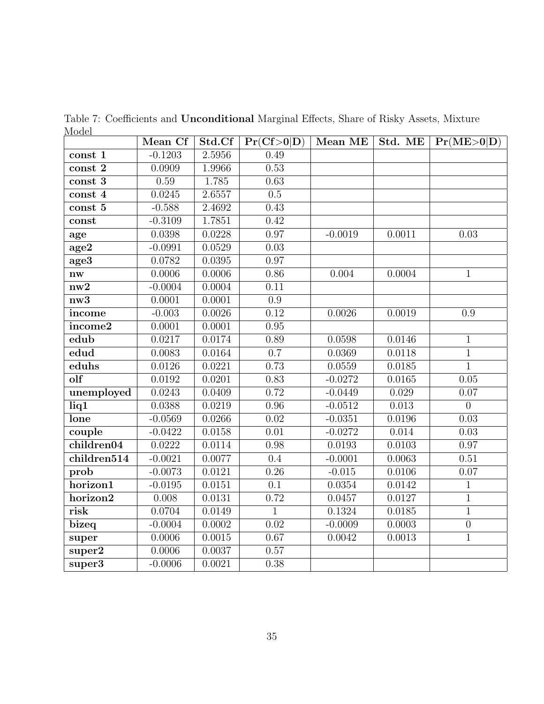|                                 | Mean Cf   | Std.Cf | Pr(Cf>0 D)        | Mean ME   | Std. ME | Pr(ME>0 D)        |
|---------------------------------|-----------|--------|-------------------|-----------|---------|-------------------|
| const 1                         | $-0.1203$ | 2.5956 | 0.49              |           |         |                   |
| $const\overline{2}$             | 0.0909    | 1.9966 | 0.53              |           |         |                   |
| $const\overline{3}$             | 0.59      | 1.785  | 0.63              |           |         |                   |
| const 4                         | 0.0245    | 2.6557 | 0.5               |           |         |                   |
| const 5                         | $-0.588$  | 2.4692 | 0.43              |           |         |                   |
| const                           | $-0.3109$ | 1.7851 | 0.42              |           |         |                   |
| age                             | 0.0398    | 0.0228 | 0.97              | $-0.0019$ | 0.0011  | 0.03              |
| age2                            | $-0.0991$ | 0.0529 | 0.03              |           |         |                   |
| age3                            | 0.0782    | 0.0395 | 0.97              |           |         |                   |
| $\mathbf{n}\mathbf{w}$          | 0.0006    | 0.0006 | 0.86              | 0.004     | 0.0004  | $\overline{1}$    |
| nw2                             | $-0.0004$ | 0.0004 | 0.11              |           |         |                   |
| $\overline{\text{nw3}}$         | 0.0001    | 0.0001 | $\overline{0.9}$  |           |         |                   |
| income                          | $-0.003$  | 0.0026 | 0.12              | 0.0026    | 0.0019  | 0.9               |
| income2                         | 0.0001    | 0.0001 | 0.95              |           |         |                   |
| edub                            | 0.0217    | 0.0174 | 0.89              | 0.0598    | 0.0146  | $\overline{1}$    |
| edud                            | 0.0083    | 0.0164 | $\overline{0.7}$  | 0.0369    | 0.0118  | $\overline{1}$    |
| eduhs                           | 0.0126    | 0.0221 | 0.73              | 0.0559    | 0.0185  | $\overline{1}$    |
| olf                             | 0.0192    | 0.0201 | 0.83              | $-0.0272$ | 0.0165  | $0.05\,$          |
| unemployed                      | 0.0243    | 0.0409 | 0.72              | $-0.0449$ | 0.029   | 0.07              |
| liq1                            | 0.0388    | 0.0219 | $\overline{0.96}$ | $-0.0512$ | 0.013   | $\overline{0}$    |
| lone                            | $-0.0569$ | 0.0266 | $\overline{0.02}$ | $-0.0351$ | 0.0196  | $\overline{0.03}$ |
| couple                          | $-0.0422$ | 0.0158 | 0.01              | $-0.0272$ | 0.014   | 0.03              |
| children04                      | 0.0222    | 0.0114 | 0.98              | 0.0193    | 0.0103  | 0.97              |
| $\overline{\text{children514}}$ | $-0.0021$ | 0.0077 | $\overline{0.4}$  | $-0.0001$ | 0.0063  | $\overline{0.51}$ |
| prob                            | $-0.0073$ | 0.0121 | 0.26              | $-0.015$  | 0.0106  | $\overline{0.07}$ |
| horizon1                        | $-0.0195$ | 0.0151 | 0.1               | 0.0354    | 0.0142  | $\mathbf{1}$      |
| horizon2                        | 0.008     | 0.0131 | 0.72              | 0.0457    | 0.0127  | $\overline{1}$    |
| risk                            | 0.0704    | 0.0149 | $\overline{1}$    | 0.1324    | 0.0185  | $\overline{1}$    |
| bizeq                           | $-0.0004$ | 0.0002 | 0.02              | $-0.0009$ | 0.0003  | $\overline{0}$    |
| super                           | 0.0006    | 0.0015 | 0.67              | 0.0042    | 0.0013  | $\mathbf{1}$      |
| super2                          | 0.0006    | 0.0037 | 0.57              |           |         |                   |
| $super\overline{3}$             | $-0.0006$ | 0.0021 | 0.38              |           |         |                   |

Table 7: Coefficients and Unconditional Marginal Effects, Share of Risky Assets, Mixture Model